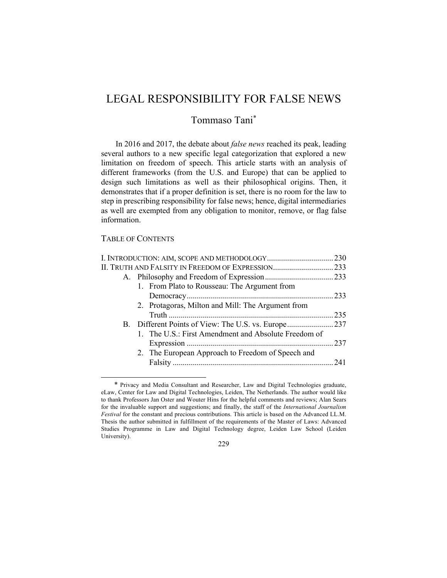# LEGAL RESPONSIBILITY FOR FALSE NEWS

## Tommaso Tani\*

In 2016 and 2017, the debate about *false news* reached its peak, leading several authors to a new specific legal categorization that explored a new limitation on freedom of speech. This article starts with an analysis of different frameworks (from the U.S. and Europe) that can be applied to design such limitations as well as their philosophical origins. Then, it demonstrates that if a proper definition is set, there is no room for the law to step in prescribing responsibility for false news; hence, digital intermediaries as well are exempted from any obligation to monitor, remove, or flag false information.

## TABLE OF CONTENTS

| 1. From Plato to Rousseau: The Argument from         |  |
|------------------------------------------------------|--|
|                                                      |  |
| 2. Protagoras, Milton and Mill: The Argument from    |  |
|                                                      |  |
|                                                      |  |
| 1. The U.S.: First Amendment and Absolute Freedom of |  |
|                                                      |  |
| 2. The European Approach to Freedom of Speech and    |  |
|                                                      |  |
|                                                      |  |

<sup>\*</sup> Privacy and Media Consultant and Researcher, Law and Digital Technologies graduate, eLaw, Center for Law and Digital Technologies, Leiden, The Netherlands. The author would like to thank Professors Jan Oster and Wouter Hins for the helpful comments and reviews; Alan Sears for the invaluable support and suggestions; and finally, the staff of the *International Journalism Festival* for the constant and precious contributions. This article is based on the Advanced LL.M. Thesis the author submitted in fulfillment of the requirements of the Master of Laws: Advanced Studies Programme in Law and Digital Technology degree, Leiden Law School (Leiden University).

<sup>229</sup>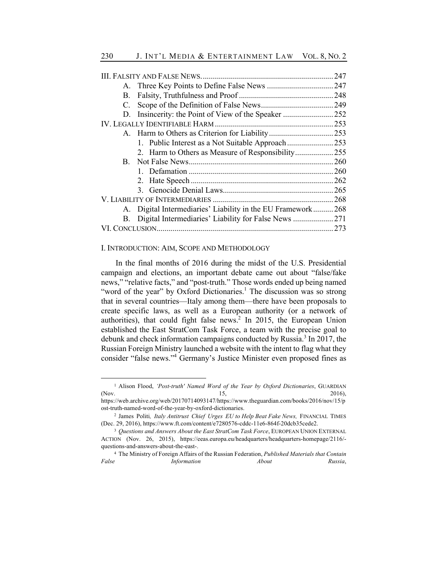| C. |                                                             |  |
|----|-------------------------------------------------------------|--|
|    |                                                             |  |
|    |                                                             |  |
|    |                                                             |  |
|    |                                                             |  |
|    | 2. Harm to Others as Measure of Responsibility255           |  |
|    |                                                             |  |
|    |                                                             |  |
|    |                                                             |  |
|    |                                                             |  |
|    |                                                             |  |
|    | A. Digital Intermediaries' Liability in the EU Framework268 |  |
|    |                                                             |  |
|    |                                                             |  |
|    |                                                             |  |

#### I. INTRODUCTION: AIM, SCOPE AND METHODOLOGY

In the final months of 2016 during the midst of the U.S. Presidential campaign and elections, an important debate came out about "false/fake news," "relative facts," and "post-truth." Those words ended up being named "word of the year" by Oxford Dictionaries.<sup>1</sup> The discussion was so strong that in several countries—Italy among them—there have been proposals to create specific laws, as well as a European authority (or a network of authorities), that could fight false news.<sup>2</sup> In 2015, the European Union established the East StratCom Task Force, a team with the precise goal to debunk and check information campaigns conducted by Russia.<sup>3</sup> In 2017, the Russian Foreign Ministry launched a website with the intent to flag what they consider "false news."<sup>4</sup> Germany's Justice Minister even proposed fines as

<sup>&</sup>lt;sup>1</sup> Alison Flood, *'Post-truth' Named Word of the Year by Oxford Dictionaries*, GUARDIAN (Nov.  $15,$  2016),

https://web.archive.org/web/20170714093147/https://www.theguardian.com/books/2016/nov/15/p ost-truth-named-word-of-the-year-by-oxford-dictionaries.

<sup>2</sup> James Politi*, Italy Antitrust Chief Urges EU to Help Beat Fake News,* FINANCIAL TIMES (Dec. 29, 2016), https://www.ft.com/content/e7280576-cddc-11e6-864f-20dcb35cede2.

<sup>3</sup> *Questions and Answers About the East StratCom Task Force*, EUROPEAN UNION EXTERNAL ACTION (Nov. 26, 2015), https://eeas.europa.eu/headquarters/headquarters-homepage/2116/ questions-and-answers-about-the-east-.

<sup>4</sup> The Ministry of Foreign Affairs of the Russian Federation, *Published Materials that Contain False Information About Russia*,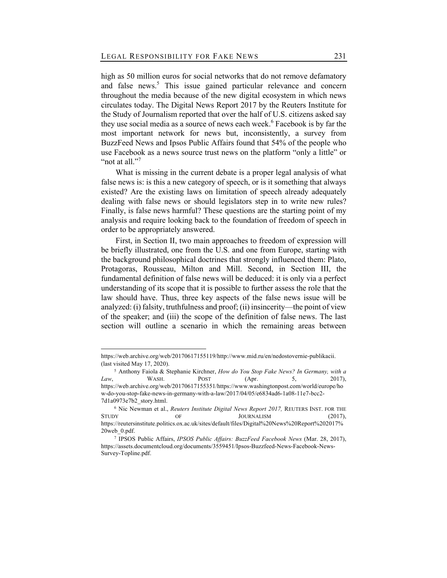high as 50 million euros for social networks that do not remove defamatory and false news.<sup>5</sup> This issue gained particular relevance and concern throughout the media because of the new digital ecosystem in which news circulates today. The Digital News Report 2017 by the Reuters Institute for the Study of Journalism reported that over the half of U.S. citizens asked say they use social media as a source of news each week.<sup>6</sup> Facebook is by far the most important network for news but, inconsistently, a survey from BuzzFeed News and Ipsos Public Affairs found that 54% of the people who use Facebook as a news source trust news on the platform "only a little" or "not at all."<sup>7</sup>

What is missing in the current debate is a proper legal analysis of what false news is: is this a new category of speech, or is it something that always existed? Are the existing laws on limitation of speech already adequately dealing with false news or should legislators step in to write new rules? Finally, is false news harmful? These questions are the starting point of my analysis and require looking back to the foundation of freedom of speech in order to be appropriately answered.

First, in Section II, two main approaches to freedom of expression will be briefly illustrated, one from the U.S. and one from Europe, starting with the background philosophical doctrines that strongly influenced them: Plato, Protagoras, Rousseau, Milton and Mill. Second, in Section III, the fundamental definition of false news will be deduced: it is only via a perfect understanding of its scope that it is possible to further assess the role that the law should have. Thus, three key aspects of the false news issue will be analyzed: (i) falsity, truthfulness and proof; (ii) insincerity—the point of view of the speaker; and (iii) the scope of the definition of false news. The last section will outline a scenario in which the remaining areas between

https://web.archive.org/web/20170617155119/http://www.mid.ru/en/nedostovernie-publikacii. (last visited May 17, 2020).

<sup>5</sup> Anthony Faiola & Stephanie Kirchner, *How do You Stop Fake News? In Germany, with a Law*, WASH. POST (Apr. 5, 2017), https://web.archive.org/web/20170617155351/https://www.washingtonpost.com/world/europe/ho w-do-you-stop-fake-news-in-germany-with-a-law/2017/04/05/e6834ad6-1a08-11e7-bcc2- 7d1a0973e7b2\_story.html.

<sup>6</sup> Nic Newman et al., *Reuters Institute Digital News Report 2017,* REUTERS INST. FOR THE STUDY OF JOURNALISM (2017), https://reutersinstitute.politics.ox.ac.uk/sites/default/files/Digital%20News%20Report%202017% 20web\_0.pdf.

<sup>7</sup> IPSOS Public Affairs, *IPSOS Public Affairs: BuzzFeed Facebook News* (Mar. 28, 2017), https://assets.documentcloud.org/documents/3559451/Ipsos-Buzzfeed-News-Facebook-News-Survey-Topline.pdf.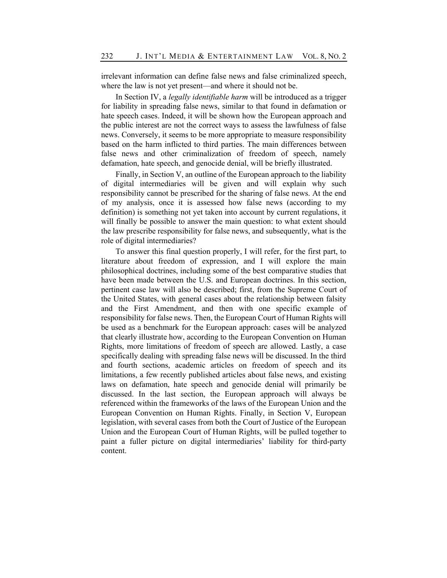irrelevant information can define false news and false criminalized speech, where the law is not yet present—and where it should not be.

In Section IV, a *legally identifiable harm* will be introduced as a trigger for liability in spreading false news, similar to that found in defamation or hate speech cases. Indeed, it will be shown how the European approach and the public interest are not the correct ways to assess the lawfulness of false news. Conversely, it seems to be more appropriate to measure responsibility based on the harm inflicted to third parties. The main differences between false news and other criminalization of freedom of speech, namely defamation, hate speech, and genocide denial, will be briefly illustrated.

Finally, in Section V, an outline of the European approach to the liability of digital intermediaries will be given and will explain why such responsibility cannot be prescribed for the sharing of false news. At the end of my analysis, once it is assessed how false news (according to my definition) is something not yet taken into account by current regulations, it will finally be possible to answer the main question: to what extent should the law prescribe responsibility for false news, and subsequently, what is the role of digital intermediaries?

To answer this final question properly, I will refer, for the first part, to literature about freedom of expression, and I will explore the main philosophical doctrines, including some of the best comparative studies that have been made between the U.S. and European doctrines. In this section, pertinent case law will also be described; first, from the Supreme Court of the United States, with general cases about the relationship between falsity and the First Amendment, and then with one specific example of responsibility for false news. Then, the European Court of Human Rights will be used as a benchmark for the European approach: cases will be analyzed that clearly illustrate how, according to the European Convention on Human Rights, more limitations of freedom of speech are allowed. Lastly, a case specifically dealing with spreading false news will be discussed. In the third and fourth sections, academic articles on freedom of speech and its limitations, a few recently published articles about false news, and existing laws on defamation, hate speech and genocide denial will primarily be discussed. In the last section, the European approach will always be referenced within the frameworks of the laws of the European Union and the European Convention on Human Rights. Finally, in Section V, European legislation, with several cases from both the Court of Justice of the European Union and the European Court of Human Rights, will be pulled together to paint a fuller picture on digital intermediaries' liability for third-party content.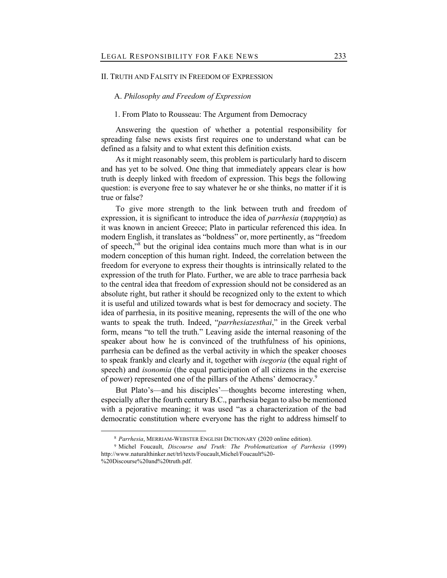## II. TRUTH AND FALSITY IN FREEDOM OF EXPRESSION

## A. *Philosophy and Freedom of Expression*

## 1. From Plato to Rousseau: The Argument from Democracy

Answering the question of whether a potential responsibility for spreading false news exists first requires one to understand what can be defined as a falsity and to what extent this definition exists.

As it might reasonably seem, this problem is particularly hard to discern and has yet to be solved. One thing that immediately appears clear is how truth is deeply linked with freedom of expression. This begs the following question: is everyone free to say whatever he or she thinks, no matter if it is true or false?

To give more strength to the link between truth and freedom of expression, it is significant to introduce the idea of *parrhesia* (παρρησία) as it was known in ancient Greece; Plato in particular referenced this idea. In modern English, it translates as "boldness" or, more pertinently, as "freedom of speech,"8 but the original idea contains much more than what is in our modern conception of this human right. Indeed, the correlation between the freedom for everyone to express their thoughts is intrinsically related to the expression of the truth for Plato. Further, we are able to trace parrhesia back to the central idea that freedom of expression should not be considered as an absolute right, but rather it should be recognized only to the extent to which it is useful and utilized towards what is best for democracy and society. The idea of parrhesia, in its positive meaning, represents the will of the one who wants to speak the truth. Indeed, "*parrhesiazesthai*," in the Greek verbal form, means "to tell the truth." Leaving aside the internal reasoning of the speaker about how he is convinced of the truthfulness of his opinions, parrhesia can be defined as the verbal activity in which the speaker chooses to speak frankly and clearly and it, together with *isegoria* (the equal right of speech) and *isonomia* (the equal participation of all citizens in the exercise of power) represented one of the pillars of the Athens' democracy.<sup>9</sup>

But Plato's—and his disciples'—thoughts become interesting when, especially after the fourth century B.C., parrhesia began to also be mentioned with a pejorative meaning; it was used "as a characterization of the bad democratic constitution where everyone has the right to address himself to

<sup>8</sup> *Parrhesia*, MERRIAM-WEBSTER ENGLISH DICTIONARY (2020 online edition).

<sup>9</sup> Michel Foucault, *Discourse and Truth: The Problematization of Parrhesia* (1999) http://www.naturalthinker.net/trl/texts/Foucault,Michel/Foucault%20-

<sup>%20</sup>Discourse%20and%20truth.pdf.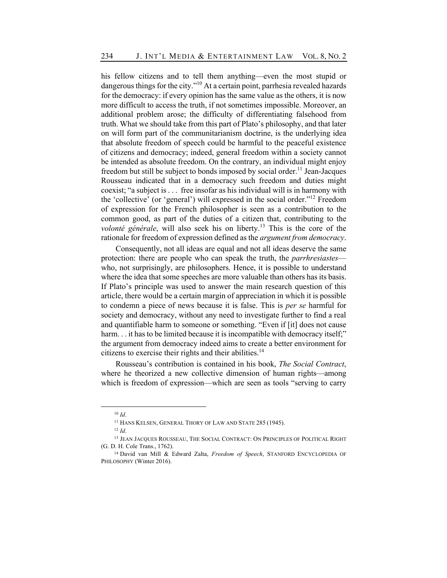his fellow citizens and to tell them anything—even the most stupid or dangerous things for the city."<sup>10</sup> At a certain point, parrhesia revealed hazards for the democracy: if every opinion has the same value as the others, it is now more difficult to access the truth, if not sometimes impossible. Moreover, an additional problem arose; the difficulty of differentiating falsehood from truth. What we should take from this part of Plato's philosophy, and that later on will form part of the communitarianism doctrine, is the underlying idea that absolute freedom of speech could be harmful to the peaceful existence of citizens and democracy; indeed, general freedom within a society cannot be intended as absolute freedom. On the contrary, an individual might enjoy freedom but still be subject to bonds imposed by social order.<sup>11</sup> Jean-Jacques Rousseau indicated that in a democracy such freedom and duties might coexist; "a subject is . . . free insofar as his individual will is in harmony with the 'collective' (or 'general') will expressed in the social order."<sup>12</sup> Freedom of expression for the French philosopher is seen as a contribution to the common good, as part of the duties of a citizen that, contributing to the *volonté générale*, will also seek his on liberty.<sup>13</sup> This is the core of the rationale for freedom of expression defined as the *argument from democracy*.

Consequently, not all ideas are equal and not all ideas deserve the same protection: there are people who can speak the truth, the *parrhresiastes* who, not surprisingly, are philosophers. Hence, it is possible to understand where the idea that some speeches are more valuable than others has its basis. If Plato's principle was used to answer the main research question of this article, there would be a certain margin of appreciation in which it is possible to condemn a piece of news because it is false. This is *per se* harmful for society and democracy, without any need to investigate further to find a real and quantifiable harm to someone or something. "Even if [it] does not cause harm... it has to be limited because it is incompatible with democracy itself;" the argument from democracy indeed aims to create a better environment for citizens to exercise their rights and their abilities.<sup>14</sup>

Rousseau's contribution is contained in his book, *The Social Contract*, where he theorized a new collective dimension of human rights—among which is freedom of expression—which are seen as tools "serving to carry

<sup>10</sup> *Id*.

<sup>&</sup>lt;sup>11</sup> HANS KELSEN, GENERAL THORY OF LAW AND STATE 285 (1945).

<sup>12</sup> *Id*.

<sup>13</sup> JEAN JACQUES ROUSSEAU, THE SOCIAL CONTRACT: ON PRINCIPLES OF POLITICAL RIGHT (G. D. H. Cole Trans., 1762).

<sup>14</sup> David van Mill & Edward Zalta, *Freedom of Speech*, STANFORD ENCYCLOPEDIA OF PHILOSOPHY (Winter 2016).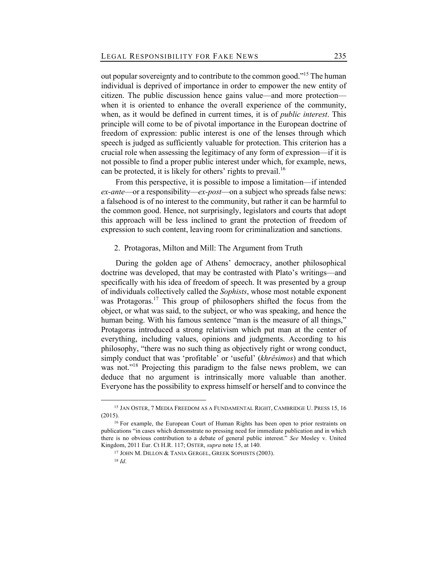out popular sovereignty and to contribute to the common good."<sup>15</sup> The human individual is deprived of importance in order to empower the new entity of citizen. The public discussion hence gains value—and more protection when it is oriented to enhance the overall experience of the community, when, as it would be defined in current times, it is of *public interest*. This principle will come to be of pivotal importance in the European doctrine of freedom of expression: public interest is one of the lenses through which speech is judged as sufficiently valuable for protection. This criterion has a crucial role when assessing the legitimacy of any form of expression—if it is not possible to find a proper public interest under which, for example, news, can be protected, it is likely for others' rights to prevail.<sup>16</sup>

From this perspective, it is possible to impose a limitation—if intended *ex-ante*—or a responsibility—*ex-post*—on a subject who spreads false news: a falsehood is of no interest to the community, but rather it can be harmful to the common good. Hence, not surprisingly, legislators and courts that adopt this approach will be less inclined to grant the protection of freedom of expression to such content, leaving room for criminalization and sanctions.

## 2. Protagoras, Milton and Mill: The Argument from Truth

During the golden age of Athens' democracy, another philosophical doctrine was developed, that may be contrasted with Plato's writings—and specifically with his idea of freedom of speech. It was presented by a group of individuals collectively called the *Sophists*, whose most notable exponent was Protagoras.<sup>17</sup> This group of philosophers shifted the focus from the object, or what was said, to the subject, or who was speaking, and hence the human being. With his famous sentence "man is the measure of all things," Protagoras introduced a strong relativism which put man at the center of everything, including values, opinions and judgments. According to his philosophy, "there was no such thing as objectively right or wrong conduct, simply conduct that was 'profitable' or 'useful' (*khrêsimos*) and that which was not."<sup>18</sup> Projecting this paradigm to the false news problem, we can deduce that no argument is intrinsically more valuable than another. Everyone has the possibility to express himself or herself and to convince the

<sup>&</sup>lt;sup>15</sup> JAN OSTER, 7 MEDIA FREEDOM AS A FUNDAMENTAL RIGHT, CAMBRIDGE U. PRESS 15, 16 (2015).

<sup>&</sup>lt;sup>16</sup> For example, the European Court of Human Rights has been open to prior restraints on publications "in cases which demonstrate no pressing need for immediate publication and in which there is no obvious contribution to a debate of general public interest." *See* Mosley v. United Kingdom, 2011 Eur. Ct H.R. 117; OSTER, *supra* note 15, at 140.

<sup>17</sup> JOHN M. DILLON & TANIA GERGEL, GREEK SOPHISTS (2003).

<sup>18</sup> *Id*.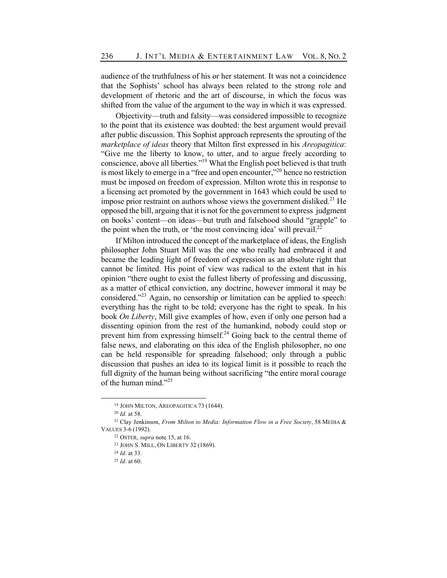audience of the truthfulness of his or her statement. It was not a coincidence that the Sophists' school has always been related to the strong role and development of rhetoric and the art of discourse, in which the focus was shifted from the value of the argument to the way in which it was expressed.

Objectivity—truth and falsity—was considered impossible to recognize to the point that its existence was doubted: the best argument would prevail after public discussion. This Sophist approach represents the sprouting of the *marketplace of ideas* theory that Milton first expressed in his *Areopagitica*: "Give me the liberty to know, to utter, and to argue freely according to conscience, above all liberties."19 What the English poet believed is that truth is most likely to emerge in a "free and open encounter,"<sup>20</sup> hence no restriction must be imposed on freedom of expression. Milton wrote this in response to a licensing act promoted by the government in 1643 which could be used to impose prior restraint on authors whose views the government disliked.<sup>21</sup> He opposed the bill, arguing that it is not for the government to express judgment on books' content—on ideas—but truth and falsehood should "grapple" to the point when the truth, or 'the most convincing idea' will prevail.<sup>22</sup>

If Milton introduced the concept of the marketplace of ideas, the English philosopher John Stuart Mill was the one who really had embraced it and became the leading light of freedom of expression as an absolute right that cannot be limited. His point of view was radical to the extent that in his opinion "there ought to exist the fullest liberty of professing and discussing, as a matter of ethical conviction, any doctrine, however immoral it may be considered."<sup>23</sup> Again, no censorship or limitation can be applied to speech: everything has the right to be told; everyone has the right to speak. In his book *On Liberty*, Mill give examples of how, even if only one person had a dissenting opinion from the rest of the humankind, nobody could stop or prevent him from expressing himself.<sup>24</sup> Going back to the central theme of false news, and elaborating on this idea of the English philosopher, no one can be held responsible for spreading falsehood; only through a public discussion that pushes an idea to its logical limit is it possible to reach the full dignity of the human being without sacrificing "the entire moral courage of the human mind." $^{25}$ 

<sup>19</sup> JOHN MILTON, AREOPAGITICA 73 (1644).

<sup>20</sup> *Id*. at 58.

<sup>21</sup> Clay Jenkinson, *From Milton to Media: Information Flow in a Free Society*, 58 MEDIA & VALUES 3-6 (1992).

<sup>22</sup> OSTER, *supra* note 15, at 16.

<sup>23</sup> JOHN S. MILL, ON LIBERTY 32 (1869).

<sup>24</sup> *Id*. at 33.

<sup>25</sup> *Id*. at 60.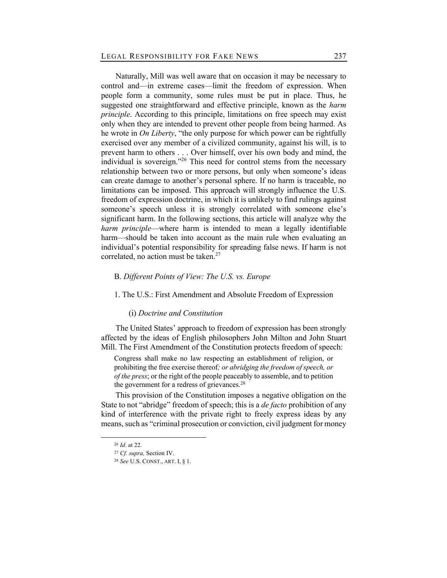Naturally, Mill was well aware that on occasion it may be necessary to control and—in extreme cases—limit the freedom of expression. When people form a community, some rules must be put in place. Thus, he suggested one straightforward and effective principle, known as the *harm principle*. According to this principle, limitations on free speech may exist only when they are intended to prevent other people from being harmed. As he wrote in *On Liberty*, "the only purpose for which power can be rightfully exercised over any member of a civilized community, against his will, is to prevent harm to others . . . Over himself, over his own body and mind, the individual is sovereign."<sup>26</sup> This need for control stems from the necessary relationship between two or more persons, but only when someone's ideas can create damage to another's personal sphere. If no harm is traceable, no limitations can be imposed. This approach will strongly influence the U.S. freedom of expression doctrine, in which it is unlikely to find rulings against someone's speech unless it is strongly correlated with someone else's significant harm. In the following sections, this article will analyze why the *harm principle*—where harm is intended to mean a legally identifiable harm—should be taken into account as the main rule when evaluating an individual's potential responsibility for spreading false news. If harm is not correlated, no action must be taken. $27$ 

## B. *Different Points of View: The U.S. vs. Europe*

## 1. The U.S.: First Amendment and Absolute Freedom of Expression

## (i) *Doctrine and Constitution*

The United States' approach to freedom of expression has been strongly affected by the ideas of English philosophers John Milton and John Stuart Mill. The First Amendment of the Constitution protects freedom of speech:

Congress shall make no law respecting an establishment of religion, or prohibiting the free exercise thereof*; or abridging the freedom of speech, or of the press*; or the right of the people peaceably to assemble, and to petition the government for a redress of grievances. $28$ 

This provision of the Constitution imposes a negative obligation on the State to not "abridge" freedom of speech; this is a *de facto* prohibition of any kind of interference with the private right to freely express ideas by any means, such as "criminal prosecution or conviction, civil judgment for money

<sup>26</sup> *Id*. at 22.

<sup>27</sup> *Cf. supra,* Section IV.

<sup>28</sup> *See* U.S. CONST., ART. I, § 1.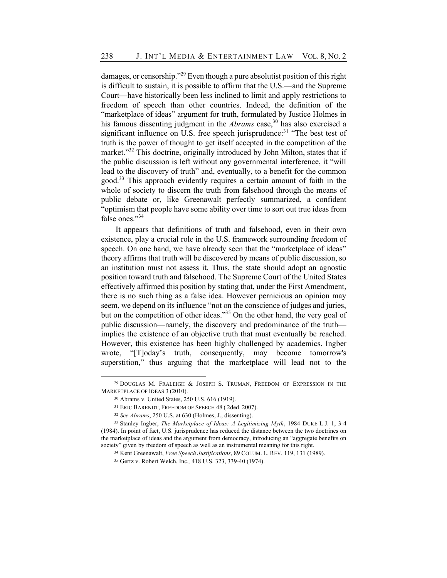damages, or censorship."<sup>29</sup> Even though a pure absolutist position of this right is difficult to sustain, it is possible to affirm that the U.S.—and the Supreme Court—have historically been less inclined to limit and apply restrictions to freedom of speech than other countries. Indeed, the definition of the "marketplace of ideas" argument for truth, formulated by Justice Holmes in his famous dissenting judgment in the *Abrams* case,<sup>30</sup> has also exercised a significant influence on U.S. free speech jurisprudence:<sup>31</sup> "The best test of truth is the power of thought to get itself accepted in the competition of the market."<sup>32</sup> This doctrine, originally introduced by John Milton, states that if the public discussion is left without any governmental interference, it "will lead to the discovery of truth" and, eventually, to a benefit for the common good.33 This approach evidently requires a certain amount of faith in the whole of society to discern the truth from falsehood through the means of public debate or, like Greenawalt perfectly summarized, a confident "optimism that people have some ability over time to sort out true ideas from false ones."<sup>34</sup>

It appears that definitions of truth and falsehood, even in their own existence, play a crucial role in the U.S. framework surrounding freedom of speech. On one hand, we have already seen that the "marketplace of ideas" theory affirms that truth will be discovered by means of public discussion, so an institution must not assess it. Thus, the state should adopt an agnostic position toward truth and falsehood. The Supreme Court of the United States effectively affirmed this position by stating that, under the First Amendment, there is no such thing as a false idea. However pernicious an opinion may seem, we depend on its influence "not on the conscience of judges and juries, but on the competition of other ideas."35 On the other hand, the very goal of public discussion—namely, the discovery and predominance of the truth implies the existence of an objective truth that must eventually be reached. However, this existence has been highly challenged by academics. Ingber wrote, "[T]oday's truth, consequently, may become tomorrow's superstition," thus arguing that the marketplace will lead not to the

 $29$  DOUGLAS M. FRALEIGH & JOSEPH S. TRUMAN, FREEDOM OF EXPRESSION IN THE MARKETPLACE OF IDEAS 3 (2010).

<sup>30</sup> Abrams v. United States, 250 U.S. 616 (1919).

<sup>31</sup> ERIC BARENDT, FREEDOM OF SPEECH 48 ( 2ded. 2007).

<sup>32</sup> *See Abrams*, 250 U.S. at 630 (Holmes, J., dissenting).

<sup>33</sup> Stanley Ingber, *The Marketplace of Ideas: A Legitimizing Myth*, 1984 DUKE L.J. 1, 3-4 (1984). In point of fact, U.S. jurisprudence has reduced the distance between the two doctrines on the marketplace of ideas and the argument from democracy, introducing an "aggregate benefits on society" given by freedom of speech as well as an instrumental meaning for this right.

<sup>34</sup> Kent Greenawalt, *Free Speech Justifications*, 89 COLUM. L. REV. 119, 131 (1989).

<sup>35</sup> Gertz v. Robert Welch, Inc*.,* 418 U.S. 323, 339-40 (1974).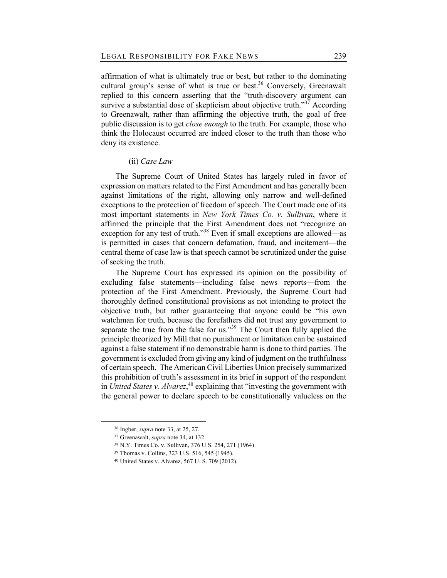affirmation of what is ultimately true or best, but rather to the dominating cultural group's sense of what is true or best.<sup>36</sup> Conversely, Greenawalt replied to this concern asserting that the "truth-discovery argument can survive a substantial dose of skepticism about objective truth."<sup>37</sup> According to Greenawalt, rather than affirming the objective truth, the goal of free public discussion is to get *close enough* to the truth. For example, those who think the Holocaust occurred are indeed closer to the truth than those who deny its existence.

## (ii) *Case Law*

The Supreme Court of United States has largely ruled in favor of expression on matters related to the First Amendment and has generally been against limitations of the right, allowing only narrow and well-defined exceptions to the protection of freedom of speech. The Court made one of its most important statements in *New York Times Co. v. Sullivan*, where it affirmed the principle that the First Amendment does not "recognize an exception for any test of truth."<sup>38</sup> Even if small exceptions are allowed—as is permitted in cases that concern defamation, fraud, and incitement—the central theme of case law is that speech cannot be scrutinized under the guise of seeking the truth.

The Supreme Court has expressed its opinion on the possibility of excluding false statements—including false news reports—from the protection of the First Amendment. Previously, the Supreme Court had thoroughly defined constitutional provisions as not intending to protect the objective truth, but rather guaranteeing that anyone could be "his own watchman for truth, because the forefathers did not trust any government to separate the true from the false for us."<sup>39</sup> The Court then fully applied the principle theorized by Mill that no punishment or limitation can be sustained against a false statement if no demonstrable harm is done to third parties. The government is excluded from giving any kind of judgment on the truthfulness of certain speech. The American Civil Liberties Union precisely summarized this prohibition of truth's assessment in its brief in support of the respondent in *United States v. Alvarez*, <sup>40</sup> explaining that "investing the government with the general power to declare speech to be constitutionally valueless on the

<sup>36</sup> Ingber, *supra* note 33, at 25, 27.

<sup>37</sup> Greenawalt, *supra* note 34, at 132.

<sup>38</sup> N.Y. Times Co. v. Sullivan, 376 U.S. 254, 271 (1964).

<sup>39</sup> Thomas v. Collins, 323 U.S. 516, 545 (1945).

<sup>40</sup> United States v. Alvarez, 567 U. S. 709 (2012).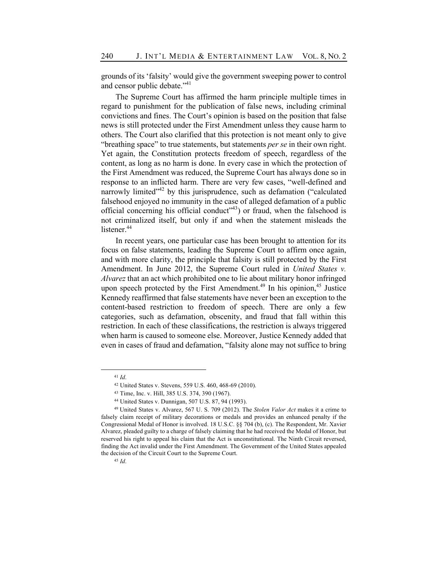grounds of its 'falsity' would give the government sweeping power to control and censor public debate."<sup>41</sup>

The Supreme Court has affirmed the harm principle multiple times in regard to punishment for the publication of false news, including criminal convictions and fines. The Court's opinion is based on the position that false news is still protected under the First Amendment unless they cause harm to others. The Court also clarified that this protection is not meant only to give "breathing space" to true statements, but statements *per se* in their own right. Yet again, the Constitution protects freedom of speech, regardless of the content, as long as no harm is done. In every case in which the protection of the First Amendment was reduced, the Supreme Court has always done so in response to an inflicted harm. There are very few cases, "well-defined and narrowly limited"<sup>42</sup> by this jurisprudence, such as defamation ("calculated") falsehood enjoyed no immunity in the case of alleged defamation of a public official concerning his official conduct<sup> $(43)$ </sup> or fraud, when the falsehood is not criminalized itself, but only if and when the statement misleads the listener.<sup>44</sup>

In recent years, one particular case has been brought to attention for its focus on false statements, leading the Supreme Court to affirm once again, and with more clarity, the principle that falsity is still protected by the First Amendment. In June 2012, the Supreme Court ruled in *United States v. Alvarez* that an act which prohibited one to lie about military honor infringed upon speech protected by the First Amendment.<sup>49</sup> In his opinion,<sup>45</sup> Justice Kennedy reaffirmed that false statements have never been an exception to the content-based restriction to freedom of speech. There are only a few categories, such as defamation, obscenity, and fraud that fall within this restriction. In each of these classifications, the restriction is always triggered when harm is caused to someone else. Moreover, Justice Kennedy added that even in cases of fraud and defamation, "falsity alone may not suffice to bring

<sup>41</sup> *Id*.

<sup>42</sup> United States v. Stevens, 559 U.S. 460, 468-69 (2010).

<sup>43</sup> Time, Inc. v. Hill, 385 U.S. 374, 390 (1967).

<sup>44</sup> United States v. Dunnigan, 507 U.S. 87, 94 (1993).

<sup>49</sup> United States v. Alvarez, 567 U. S. 709 (2012). The *Stolen Valor Act* makes it a crime to falsely claim receipt of military decorations or medals and provides an enhanced penalty if the Congressional Medal of Honor is involved. 18 U.S.C. §§ 704 (b), (c). The Respondent, Mr. Xavier Alvarez, pleaded guilty to a charge of falsely claiming that he had received the Medal of Honor, but reserved his right to appeal his claim that the Act is unconstitutional. The Ninth Circuit reversed, finding the Act invalid under the First Amendment. The Government of the United States appealed the decision of the Circuit Court to the Supreme Court.

<sup>45</sup> *Id*.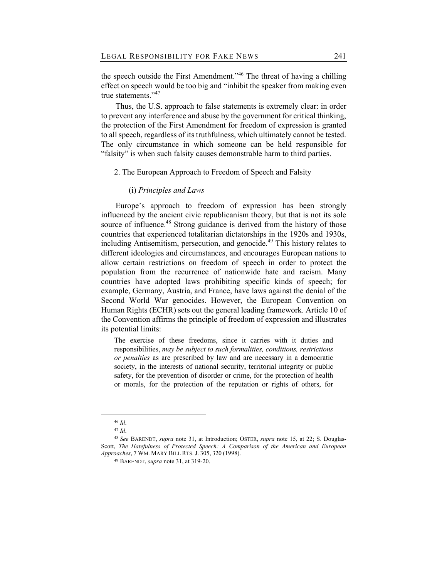the speech outside the First Amendment."<sup>46</sup> The threat of having a chilling effect on speech would be too big and "inhibit the speaker from making even true statements."<sup>47</sup>

Thus, the U.S. approach to false statements is extremely clear: in order to prevent any interference and abuse by the government for critical thinking, the protection of the First Amendment for freedom of expression is granted to all speech, regardless of its truthfulness, which ultimately cannot be tested. The only circumstance in which someone can be held responsible for "falsity" is when such falsity causes demonstrable harm to third parties.

## 2. The European Approach to Freedom of Speech and Falsity

## (i) *Principles and Laws*

Europe's approach to freedom of expression has been strongly influenced by the ancient civic republicanism theory, but that is not its sole source of influence.<sup>48</sup> Strong guidance is derived from the history of those countries that experienced totalitarian dictatorships in the 1920s and 1930s, including Antisemitism, persecution, and genocide.<sup>49</sup> This history relates to different ideologies and circumstances, and encourages European nations to allow certain restrictions on freedom of speech in order to protect the population from the recurrence of nationwide hate and racism. Many countries have adopted laws prohibiting specific kinds of speech; for example, Germany, Austria, and France, have laws against the denial of the Second World War genocides. However, the European Convention on Human Rights (ECHR) sets out the general leading framework. Article 10 of the Convention affirms the principle of freedom of expression and illustrates its potential limits:

The exercise of these freedoms, since it carries with it duties and responsibilities, *may be subject to such formalities, conditions, restrictions or penalties* as are prescribed by law and are necessary in a democratic society, in the interests of national security, territorial integrity or public safety, for the prevention of disorder or crime, for the protection of health or morals, for the protection of the reputation or rights of others, for

<sup>46</sup> *Id*.

<sup>47</sup> *Id*.

<sup>48</sup> *See* BARENDT, *supra* note 31, at Introduction; OSTER, *supra* note 15, at 22; S. Douglas-Scott, *The Hatefulness of Protected Speech: A Comparison of the American and European Approaches*, 7 WM. MARY BILL RTS. J. 305, 320 (1998).

<sup>49</sup> BARENDT, *supra* note 31, at 319-20.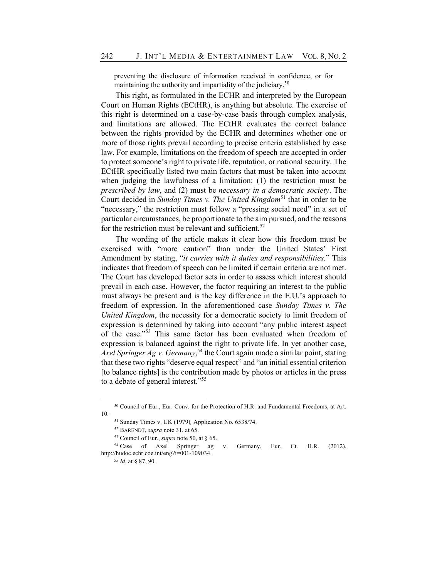preventing the disclosure of information received in confidence, or for maintaining the authority and impartiality of the judiciary.<sup>50</sup>

This right, as formulated in the ECHR and interpreted by the European Court on Human Rights (ECtHR), is anything but absolute. The exercise of this right is determined on a case-by-case basis through complex analysis, and limitations are allowed. The ECtHR evaluates the correct balance between the rights provided by the ECHR and determines whether one or more of those rights prevail according to precise criteria established by case law. For example, limitations on the freedom of speech are accepted in order to protect someone's right to private life, reputation, or national security. The ECtHR specifically listed two main factors that must be taken into account when judging the lawfulness of a limitation: (1) the restriction must be *prescribed by law*, and (2) must be *necessary in a democratic society*. The Court decided in *Sunday Times v. The United Kingdom*<sup>51</sup> that in order to be "necessary," the restriction must follow a "pressing social need" in a set of particular circumstances, be proportionate to the aim pursued, and the reasons for the restriction must be relevant and sufficient.<sup>52</sup>

The wording of the article makes it clear how this freedom must be exercised with "more caution" than under the United States' First Amendment by stating, "*it carries with it duties and responsibilities.*" This indicates that freedom of speech can be limited if certain criteria are not met. The Court has developed factor sets in order to assess which interest should prevail in each case. However, the factor requiring an interest to the public must always be present and is the key difference in the E.U.'s approach to freedom of expression. In the aforementioned case *Sunday Times v. The United Kingdom*, the necessity for a democratic society to limit freedom of expression is determined by taking into account "any public interest aspect of the case."<sup>53</sup> This same factor has been evaluated when freedom of expression is balanced against the right to private life. In yet another case, *Axel Springer Ag v. Germany*, <sup>54</sup> the Court again made a similar point, stating that these two rights "deserve equal respect" and "an initial essential criterion [to balance rights] is the contribution made by photos or articles in the press to a debate of general interest."<sup>55</sup>

<sup>50</sup> Council of Eur., Eur. Conv. for the Protection of H.R. and Fundamental Freedoms, at Art. 10.

<sup>51</sup> Sunday Times v. UK (1979)*,* Application No. 6538/74.

<sup>52</sup> BARENDT, *supra* note 31, at 65.

<sup>53</sup> Council of Eur., *supra* note 50, at § 65.

<sup>54</sup> Case of Axel Springer ag v. Germany, Eur. Ct. H.R. (2012), http://hudoc.echr.coe.int/eng?i=001-109034.

<sup>55</sup> *Id*. at § 87, 90.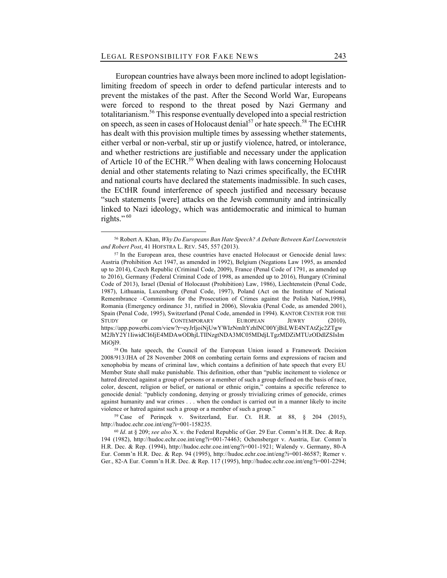European countries have always been more inclined to adopt legislationlimiting freedom of speech in order to defend particular interests and to prevent the mistakes of the past. After the Second World War, Europeans were forced to respond to the threat posed by Nazi Germany and totalitarianism.56 This response eventually developed into a special restriction on speech, as seen in cases of Holocaust denial<sup>57</sup> or hate speech.<sup>58</sup> The ECtHR has dealt with this provision multiple times by assessing whether statements, either verbal or non-verbal, stir up or justify violence, hatred, or intolerance, and whether restrictions are justifiable and necessary under the application of Article 10 of the ECHR.<sup>59</sup> When dealing with laws concerning Holocaust denial and other statements relating to Nazi crimes specifically, the ECtHR and national courts have declared the statements inadmissible. In such cases, the ECtHR found interference of speech justified and necessary because "such statements [were] attacks on the Jewish community and intrinsically linked to Nazi ideology, which was antidemocratic and inimical to human rights." $60$ 

<sup>58</sup> On hate speech, the Council of the European Union issued a Framework Decision 2008/913/JHA of 28 November 2008 on combating certain forms and expressions of racism and xenophobia by means of criminal law, which contains a definition of hate speech that every EU Member State shall make punishable. This definition, other than "public incitement to violence or hatred directed against a group of persons or a member of such a group defined on the basis of race, color, descent, religion or belief, or national or ethnic origin," contains a specific reference to genocide denial: "publicly condoning, denying or grossly trivializing crimes of genocide, crimes against humanity and war crimes . . . when the conduct is carried out in a manner likely to incite violence or hatred against such a group or a member of such a group."

<sup>59</sup> Case of Perinçek v. Switzerland, Eur. Ct. H.R. at 88, § 204 (2015), http://hudoc.echr.coe.int/eng?i=001-158235.

<sup>56</sup> Robert A. Khan, *Why Do Europeans Ban Hate Speech? A Debate Between Karl Loewenstein and Robert Post*, 41 HOFSTRA L. REV. 545, 557 (2013).

<sup>&</sup>lt;sup>57</sup> In the European area, these countries have enacted Holocaust or Genocide denial laws: Austria (Prohibition Act 1947, as amended in 1992), Belgium (Negations Law 1995, as amended up to 2014), Czech Republic (Criminal Code, 2009), France (Penal Code of 1791, as amended up to 2016), Germany (Federal Criminal Code of 1998, as amended up to 2016), Hungary (Criminal Code of 2013), Israel (Denial of Holocaust (Prohibition) Law, 1986), Liechtenstein (Penal Code, 1987), Lithuania, Luxemburg (Penal Code, 1997), Poland (Act on the Institute of National Remembrance –Commission for the Prosecution of Crimes against the Polish Nation,1998), Romania (Emergency ordinance 31, ratified in 2006), Slovakia (Penal Code, as amended 2001), Spain (Penal Code, 1995), Switzerland (Penal Code, amended in 1994). KANTOR CENTER FOR THE STUDY OF CONTEMPORARY EUROPEAN JEWRY (2010), https://app.powerbi.com/view?r=eyJrIjoiNjUwYWIzNmItYzhlNC00YjBiLWE4NTAtZjc2ZTgw M2JhY2Y1IiwidCI6IjE4MDAwODhjLTllNzgtNDA3MC05MDdjLTgzMDZiMTUzODdlZSIsIm MiOjl9.

<sup>60</sup> *Id*. at § 209; *see also* X. v. the Federal Republic of Ger. 29 Eur. Comm'n H.R. Dec. & Rep. 194 (1982), http://hudoc.echr.coe.int/eng?i=001-74463; Ochensberger v. Austria, Eur. Comm'n H.R. Dec. & Rep. (1994), http://hudoc.echr.coe.int/eng?i=001-1921; Walendy v. Germany, 80-A Eur. Comm'n H.R. Dec. & Rep. 94 (1995), http://hudoc.echr.coe.int/eng?i=001-86587; Remer v. Ger., 82-A Eur. Comm'n H.R. Dec. & Rep. 117 (1995), http://hudoc.echr.coe.int/eng?i=001-2294;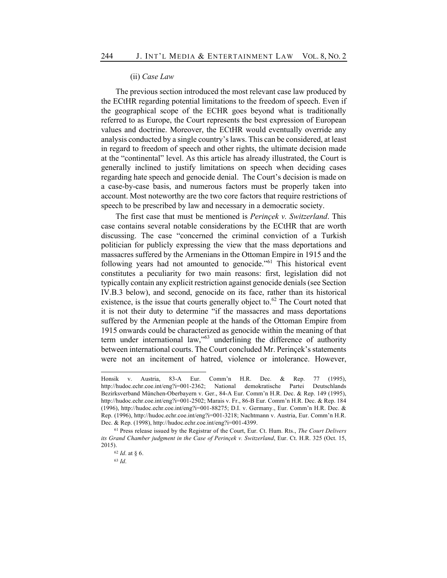#### (ii) *Case Law*

The previous section introduced the most relevant case law produced by the ECtHR regarding potential limitations to the freedom of speech. Even if the geographical scope of the ECHR goes beyond what is traditionally referred to as Europe, the Court represents the best expression of European values and doctrine. Moreover, the ECtHR would eventually override any analysis conducted by a single country's laws. This can be considered, at least in regard to freedom of speech and other rights, the ultimate decision made at the "continental" level. As this article has already illustrated, the Court is generally inclined to justify limitations on speech when deciding cases regarding hate speech and genocide denial. The Court's decision is made on a case-by-case basis, and numerous factors must be properly taken into account. Most noteworthy are the two core factors that require restrictions of speech to be prescribed by law and necessary in a democratic society.

The first case that must be mentioned is *Perinçek v. Switzerland*. This case contains several notable considerations by the ECtHR that are worth discussing. The case "concerned the criminal conviction of a Turkish politician for publicly expressing the view that the mass deportations and massacres suffered by the Armenians in the Ottoman Empire in 1915 and the following years had not amounted to genocide."<sup>61</sup> This historical event constitutes a peculiarity for two main reasons: first, legislation did not typically contain any explicit restriction against genocide denials (see Section IV.B.3 below), and second, genocide on its face, rather than its historical existence, is the issue that courts generally object to. $62$  The Court noted that it is not their duty to determine "if the massacres and mass deportations suffered by the Armenian people at the hands of the Ottoman Empire from 1915 onwards could be characterized as genocide within the meaning of that term under international law," $63$  underlining the difference of authority between international courts. The Court concluded Mr. Perinçek's statements were not an incitement of hatred, violence or intolerance. However,

Honsik v. Austria, 83-A Eur. Comm'n H.R. Dec. & Rep. 77 (1995), http://hudoc.echr.coe.int/eng?i=001-2362; National demokratische Partei Deutschlands Bezirksverband München-Oberbayern v. Ger., 84-A Eur. Comm'n H.R. Dec. & Rep. 149 (1995), http://hudoc.echr.coe.int/eng?i=001-2502; Marais v. Fr., 86-B Eur. Comm'n H.R. Dec. & Rep. 184 (1996), http://hudoc.echr.coe.int/eng?i=001-88275; D.I. v. Germany., Eur. Comm'n H.R. Dec. & Rep. (1996), http://hudoc.echr.coe.int/eng?i=001-3218; Nachtmann v. Austria, Eur. Comm'n H.R. Dec. & Rep. (1998), http://hudoc.echr.coe.int/eng?i=001-4399.

<sup>61</sup> Press release issued by the Registrar of the Court, Eur. Ct. Hum. Rts., *The Court Delivers its Grand Chamber judgment in the Case of Perinçek v. Switzerland*, Eur. Ct. H.R. 325 (Oct. 15, 2015).

<sup>62</sup> *Id*. at § 6.

<sup>63</sup> *Id*.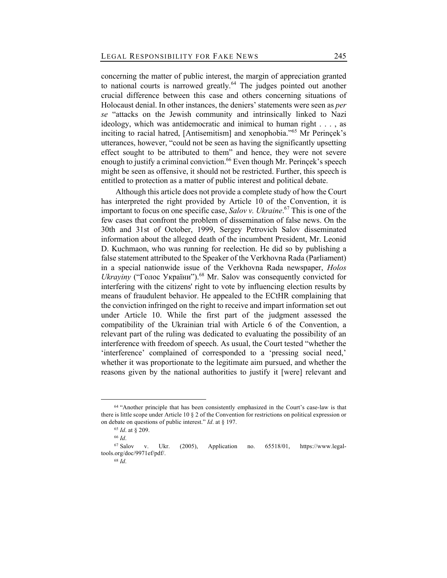concerning the matter of public interest, the margin of appreciation granted to national courts is narrowed greatly.<sup>64</sup> The judges pointed out another crucial difference between this case and others concerning situations of Holocaust denial. In other instances, the deniers' statements were seen as *per se* "attacks on the Jewish community and intrinsically linked to Nazi ideology, which was antidemocratic and inimical to human right . . . , as inciting to racial hatred, [Antisemitism] and xenophobia."<sup>65</sup> Mr Perinçek's utterances, however, "could not be seen as having the significantly upsetting effect sought to be attributed to them" and hence, they were not severe enough to justify a criminal conviction.<sup>66</sup> Even though Mr. Perincek's speech might be seen as offensive, it should not be restricted. Further, this speech is entitled to protection as a matter of public interest and political debate.

Although this article does not provide a complete study of how the Court has interpreted the right provided by Article 10 of the Convention, it is important to focus on one specific case, *Salov v. Ukraine*. <sup>67</sup> This is one of the few cases that confront the problem of dissemination of false news. On the 30th and 31st of October, 1999, Sergey Petrovich Salov disseminated information about the alleged death of the incumbent President, Mr. Leonid D. Kuchmaon, who was running for reelection. He did so by publishing a false statement attributed to the Speaker of the Verkhovna Rada (Parliament) in a special nationwide issue of the Verkhovna Rada newspaper, *Holos*  Ukrayiny ("Голос України").<sup>68</sup> Mr. Salov was consequently convicted for interfering with the citizens' right to vote by influencing election results by means of fraudulent behavior. He appealed to the ECtHR complaining that the conviction infringed on the right to receive and impart information set out under Article 10. While the first part of the judgment assessed the compatibility of the Ukrainian trial with Article 6 of the Convention, a relevant part of the ruling was dedicated to evaluating the possibility of an interference with freedom of speech. As usual, the Court tested "whether the 'interference' complained of corresponded to a 'pressing social need,' whether it was proportionate to the legitimate aim pursued, and whether the reasons given by the national authorities to justify it [were] relevant and

<sup>&</sup>lt;sup>64</sup> "Another principle that has been consistently emphasized in the Court's case-law is that there is little scope under Article 10 § 2 of the Convention for restrictions on political expression or on debate on questions of public interest." *Id*. at § 197.

<sup>65</sup> *Id*. at § 209.

<sup>66</sup> *Id*.

<sup>67</sup> Salov v. Ukr. (2005), Application no. 65518/01, https://www.legaltools.org/doc/9971ef/pdf/.

<sup>68</sup> *Id*.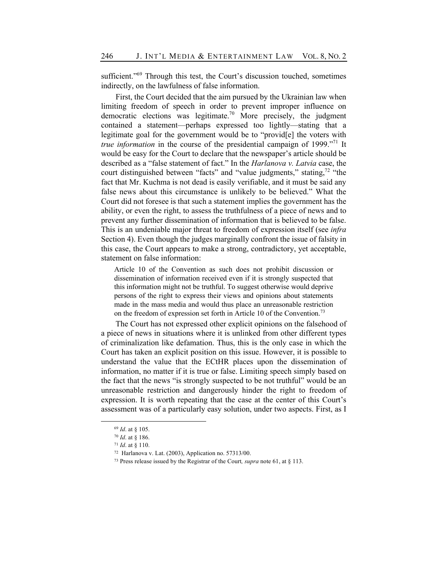sufficient."<sup>69</sup> Through this test, the Court's discussion touched, sometimes indirectly, on the lawfulness of false information.

First, the Court decided that the aim pursued by the Ukrainian law when limiting freedom of speech in order to prevent improper influence on democratic elections was legitimate.<sup>70</sup> More precisely, the judgment contained a statement—perhaps expressed too lightly—stating that a legitimate goal for the government would be to "provid[e] the voters with *true information* in the course of the presidential campaign of 1999.<sup>"71</sup> It would be easy for the Court to declare that the newspaper's article should be described as a "false statement of fact." In the *Harlanova v. Latvia* case, the court distinguished between "facts" and "value judgments," stating, $^{72}$  "the fact that Mr. Kuchma is not dead is easily verifiable, and it must be said any false news about this circumstance is unlikely to be believed." What the Court did not foresee is that such a statement implies the government has the ability, or even the right, to assess the truthfulness of a piece of news and to prevent any further dissemination of information that is believed to be false. This is an undeniable major threat to freedom of expression itself (see *infra*  Section 4). Even though the judges marginally confront the issue of falsity in this case, the Court appears to make a strong, contradictory, yet acceptable, statement on false information:

Article 10 of the Convention as such does not prohibit discussion or dissemination of information received even if it is strongly suspected that this information might not be truthful. To suggest otherwise would deprive persons of the right to express their views and opinions about statements made in the mass media and would thus place an unreasonable restriction on the freedom of expression set forth in Article 10 of the Convention.<sup>73</sup>

The Court has not expressed other explicit opinions on the falsehood of a piece of news in situations where it is unlinked from other different types of criminalization like defamation. Thus, this is the only case in which the Court has taken an explicit position on this issue. However, it is possible to understand the value that the ECtHR places upon the dissemination of information, no matter if it is true or false. Limiting speech simply based on the fact that the news "is strongly suspected to be not truthful" would be an unreasonable restriction and dangerously hinder the right to freedom of expression. It is worth repeating that the case at the center of this Court's assessment was of a particularly easy solution, under two aspects. First, as I

<sup>69</sup> *Id*. at § 105.

<sup>70</sup> *Id*. at § 186.

<sup>71</sup> *Id*. at § 110.

<sup>72</sup> Harlanova v. Lat. (2003), Application no. 57313/00.

<sup>73</sup> Press release issued by the Registrar of the Court*, supra* note 61, at § 113.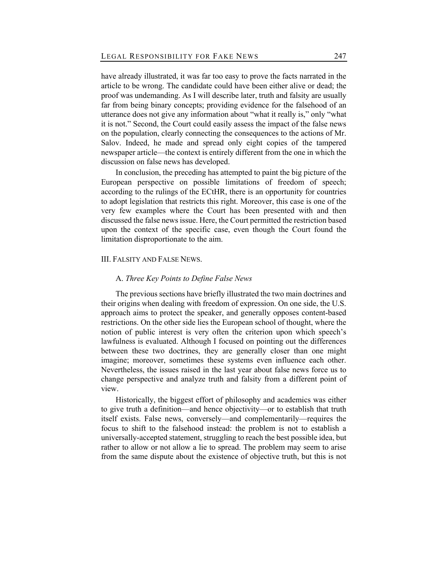have already illustrated, it was far too easy to prove the facts narrated in the article to be wrong. The candidate could have been either alive or dead; the proof was undemanding. As I will describe later, truth and falsity are usually far from being binary concepts; providing evidence for the falsehood of an utterance does not give any information about "what it really is," only "what it is not." Second, the Court could easily assess the impact of the false news on the population, clearly connecting the consequences to the actions of Mr. Salov. Indeed, he made and spread only eight copies of the tampered newspaper article—the context is entirely different from the one in which the discussion on false news has developed.

In conclusion, the preceding has attempted to paint the big picture of the European perspective on possible limitations of freedom of speech; according to the rulings of the ECtHR, there is an opportunity for countries to adopt legislation that restricts this right. Moreover, this case is one of the very few examples where the Court has been presented with and then discussed the false news issue. Here, the Court permitted the restriction based upon the context of the specific case, even though the Court found the limitation disproportionate to the aim.

## III. FALSITY AND FALSE NEWS.

## A. *Three Key Points to Define False News*

The previous sections have briefly illustrated the two main doctrines and their origins when dealing with freedom of expression. On one side, the U.S. approach aims to protect the speaker, and generally opposes content-based restrictions. On the other side lies the European school of thought, where the notion of public interest is very often the criterion upon which speech's lawfulness is evaluated. Although I focused on pointing out the differences between these two doctrines, they are generally closer than one might imagine; moreover, sometimes these systems even influence each other. Nevertheless, the issues raised in the last year about false news force us to change perspective and analyze truth and falsity from a different point of view.

Historically, the biggest effort of philosophy and academics was either to give truth a definition—and hence objectivity—or to establish that truth itself exists. False news, conversely—and complementarily—requires the focus to shift to the falsehood instead: the problem is not to establish a universally-accepted statement, struggling to reach the best possible idea, but rather to allow or not allow a lie to spread. The problem may seem to arise from the same dispute about the existence of objective truth, but this is not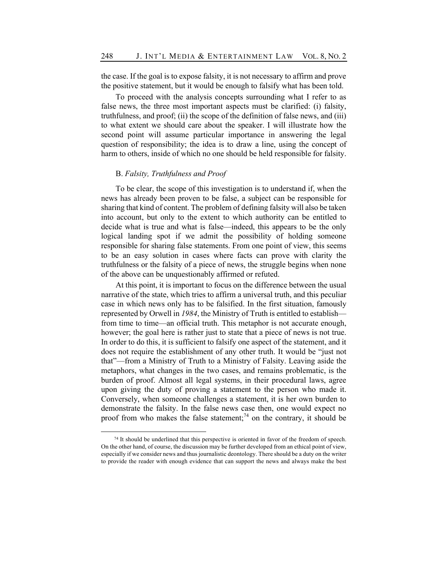the case. If the goal is to expose falsity, it is not necessary to affirm and prove the positive statement, but it would be enough to falsify what has been told.

To proceed with the analysis concepts surrounding what I refer to as false news, the three most important aspects must be clarified: (i) falsity, truthfulness, and proof; (ii) the scope of the definition of false news, and (iii) to what extent we should care about the speaker. I will illustrate how the second point will assume particular importance in answering the legal question of responsibility; the idea is to draw a line, using the concept of harm to others, inside of which no one should be held responsible for falsity.

## B. *Falsity, Truthfulness and Proof*

To be clear, the scope of this investigation is to understand if, when the news has already been proven to be false, a subject can be responsible for sharing that kind of content. The problem of defining falsity will also be taken into account, but only to the extent to which authority can be entitled to decide what is true and what is false—indeed, this appears to be the only logical landing spot if we admit the possibility of holding someone responsible for sharing false statements. From one point of view, this seems to be an easy solution in cases where facts can prove with clarity the truthfulness or the falsity of a piece of news, the struggle begins when none of the above can be unquestionably affirmed or refuted.

At this point, it is important to focus on the difference between the usual narrative of the state, which tries to affirm a universal truth, and this peculiar case in which news only has to be falsified. In the first situation, famously represented by Orwell in *1984*, the Ministry of Truth is entitled to establish from time to time—an official truth. This metaphor is not accurate enough, however; the goal here is rather just to state that a piece of news is not true. In order to do this, it is sufficient to falsify one aspect of the statement, and it does not require the establishment of any other truth. It would be "just not that"—from a Ministry of Truth to a Ministry of Falsity. Leaving aside the metaphors, what changes in the two cases, and remains problematic, is the burden of proof. Almost all legal systems, in their procedural laws, agree upon giving the duty of proving a statement to the person who made it. Conversely, when someone challenges a statement, it is her own burden to demonstrate the falsity. In the false news case then, one would expect no proof from who makes the false statement;<sup>74</sup> on the contrary, it should be

<sup>74</sup> It should be underlined that this perspective is oriented in favor of the freedom of speech. On the other hand, of course, the discussion may be further developed from an ethical point of view, especially if we consider news and thus journalistic deontology. There should be a duty on the writer to provide the reader with enough evidence that can support the news and always make the best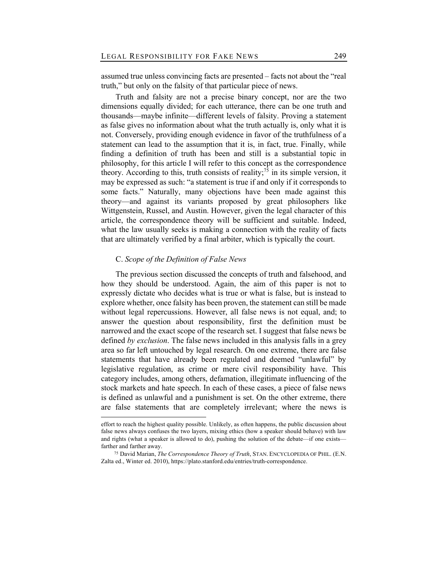assumed true unless convincing facts are presented – facts not about the "real truth," but only on the falsity of that particular piece of news.

Truth and falsity are not a precise binary concept, nor are the two dimensions equally divided; for each utterance, there can be one truth and thousands—maybe infinite—different levels of falsity. Proving a statement as false gives no information about what the truth actually is, only what it is not. Conversely, providing enough evidence in favor of the truthfulness of a statement can lead to the assumption that it is, in fact, true. Finally, while finding a definition of truth has been and still is a substantial topic in philosophy, for this article I will refer to this concept as the correspondence theory. According to this, truth consists of reality;<sup>75</sup> in its simple version, it may be expressed as such: "a statement is true if and only if it corresponds to some facts." Naturally, many objections have been made against this theory—and against its variants proposed by great philosophers like Wittgenstein, Russel, and Austin. However, given the legal character of this article, the correspondence theory will be sufficient and suitable. Indeed, what the law usually seeks is making a connection with the reality of facts that are ultimately verified by a final arbiter, which is typically the court.

## C. *Scope of the Definition of False News*

The previous section discussed the concepts of truth and falsehood, and how they should be understood. Again, the aim of this paper is not to expressly dictate who decides what is true or what is false, but is instead to explore whether, once falsity has been proven, the statement can still be made without legal repercussions. However, all false news is not equal, and; to answer the question about responsibility, first the definition must be narrowed and the exact scope of the research set. I suggest that false news be defined *by exclusion*. The false news included in this analysis falls in a grey area so far left untouched by legal research. On one extreme, there are false statements that have already been regulated and deemed "unlawful" by legislative regulation, as crime or mere civil responsibility have. This category includes, among others, defamation, illegitimate influencing of the stock markets and hate speech. In each of these cases, a piece of false news is defined as unlawful and a punishment is set. On the other extreme, there are false statements that are completely irrelevant; where the news is

effort to reach the highest quality possible. Unlikely, as often happens, the public discussion about false news always confuses the two layers, mixing ethics (how a speaker should behave) with law and rights (what a speaker is allowed to do), pushing the solution of the debate—if one exists farther and farther away.

<sup>75</sup> David Marian, *The Correspondence Theory of Truth*, STAN. ENCYCLOPEDIA OF PHIL. (E.N. Zalta ed., Winter ed. 2010), https://plato.stanford.edu/entries/truth-correspondence.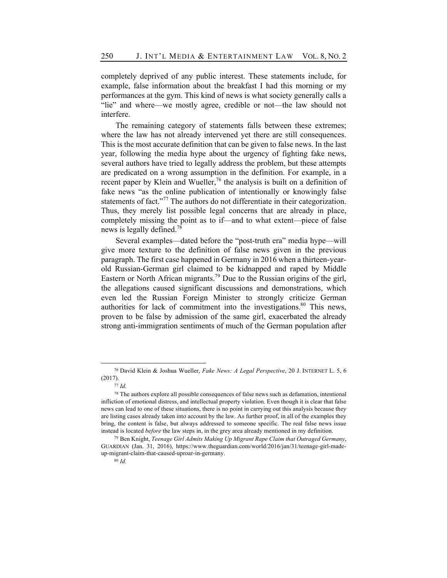completely deprived of any public interest. These statements include, for example, false information about the breakfast I had this morning or my performances at the gym. This kind of news is what society generally calls a "lie" and where—we mostly agree, credible or not—the law should not interfere.

The remaining category of statements falls between these extremes; where the law has not already intervened yet there are still consequences. This is the most accurate definition that can be given to false news. In the last year, following the media hype about the urgency of fighting fake news, several authors have tried to legally address the problem, but these attempts are predicated on a wrong assumption in the definition. For example, in a recent paper by Klein and Wueller,<sup>76</sup> the analysis is built on a definition of fake news "as the online publication of intentionally or knowingly false statements of fact."<sup>77</sup> The authors do not differentiate in their categorization. Thus, they merely list possible legal concerns that are already in place, completely missing the point as to if—and to what extent—piece of false news is legally defined.<sup>78</sup>

Several examples—dated before the "post-truth era" media hype—will give more texture to the definition of false news given in the previous paragraph. The first case happened in Germany in 2016 when a thirteen-yearold Russian-German girl claimed to be kidnapped and raped by Middle Eastern or North African migrants.<sup>79</sup> Due to the Russian origins of the girl, the allegations caused significant discussions and demonstrations, which even led the Russian Foreign Minister to strongly criticize German authorities for lack of commitment into the investigations.<sup>80</sup> This news, proven to be false by admission of the same girl, exacerbated the already strong anti-immigration sentiments of much of the German population after

<sup>76</sup> David Klein & Joshua Wueller, *Fake News: A Legal Perspective*, 20 J. INTERNET L. 5, 6 (2017).

<sup>77</sup> *Id*.

<sup>78</sup> The authors explore all possible consequences of false news such as defamation, intentional infliction of emotional distress, and intellectual property violation. Even though it is clear that false news can lead to one of these situations, there is no point in carrying out this analysis because they are listing cases already taken into account by the law. As further proof, in all of the examples they bring, the content is false, but always addressed to someone specific. The real false news issue instead is located *before* the law steps in, in the grey area already mentioned in my definition.

<sup>79</sup> Ben Knight, *Teenage Girl Admits Making Up Migrant Rape Claim that Outraged Germany*, GUARDIAN (Jan. 31, 2016), https://www.theguardian.com/world/2016/jan/31/teenage-girl-madeup-migrant-claim-that-caused-uproar-in-germany.

<sup>80</sup> *Id*.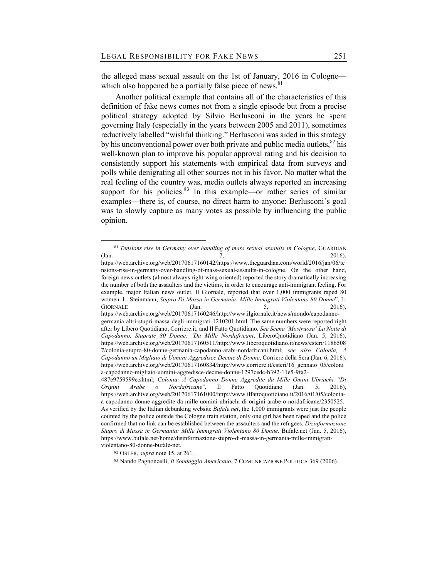the alleged mass sexual assault on the 1st of January, 2016 in Cologne which also happened be a partially false piece of news. $81$ 

Another political example that contains all of the characteristics of this definition of fake news comes not from a single episode but from a precise political strategy adopted by Silvio Berlusconi in the years he spent governing Italy (especially in the years between 2005 and 2011), sometimes reductively labelled "wishful thinking." Berlusconi was aided in this strategy by his unconventional power over both private and public media outlets,  ${}^{82}$  his well-known plan to improve his popular approval rating and his decision to consistently support his statements with empirical data from surveys and polls while denigrating all other sources not in his favor. No matter what the real feeling of the country was, media outlets always reported an increasing support for his policies. $83$  In this example—or rather series of similar examples—there is, of course, no direct harm to anyone: Berlusconi's goal was to slowly capture as many votes as possible by influencing the public opinion.

<sup>81</sup> *Tensions rise in Germany over handling of mass sexual assaults in Cologne*, GUARDIAN  $(Jan. 2016),$ 

https://web.archive.org/web/20170617160142/https://www.theguardian.com/world/2016/jan/06/te nsions-rise-in-germany-over-handling-of-mass-sexual-assaults-in-cologne. On the other hand, foreign news outlets (almost always right-wing oriented) reported the story dramatically increasing the number of both the assaulters and the victims, in order to encourage anti-immigrant feeling. For example, major Italian news outlet, Il Giornale, reported that over 1,000 immigrants raped 80 women. L. Steinmann, *Stupro Di Massa in Germania: Mille Immigrati Violentano 80 Donne*", IL GIORNALE  $(Jan. 5, 2016)$ https://web.archive.org/web/20170617160246/http://www.ilgiornale.it/news/mondo/capodannogermania-altri-stupri-massa-degli-immigrati-1210201.html. The same numbers were reported right after by Libero Quotidiano, Corriere.it, and Il Fatto Quotidiano. *See Scena 'Mostruosa' La Notte di Capodanno. Stuprate 80 Donne: 'Da Mille Nordafricani*, LiberoQuotidiano (Jan. 5, 2016),

https://web.archive.org/web/20170617160511/http://www.liberoquotidiano.it/news/esteri/1186508 7/colonia-stupro-80-donne-germania-capodanno-arabi-nordafricani.html; *see also Colonia, A Capodanno un Migliaio di Uomini Aggredisce Decine di Donne*, Corriere della Sera (Jan. 6, 2016), https://web.archive.org/web/20170617160834/http://www.corriere.it/esteri/16\_gennaio\_05/coloni a-capodanno-migliaio-uomini-aggredisce-decine-donne-1297cedc-b392-11e5-9fa2-

<sup>487</sup>e9759599e.shtml; *Colonia: A Capodanno Donne Aggredite da Mille Omini Ubriachi "Di Origini Arabe o Nordafricane*", Il Fatto Quotidiano (Jan. 5, 2016), https://web.archive.org/web/20170617161000/http://www.ilfattoquotidiano.it/2016/01/05/coloniaa-capodanno-donne-aggredite-da-mille-uomini-ubriachi-di-origini-arabe-o-nordafricane/2350525. As verified by the Italian debunking website *Bufale.net*, the 1,000 immigrants were just the people counted by the police outside the Cologne train station, only one girl has been raped and the police confirmed that no link can be established between the assaulters and the refugees. *Dizinformazione Stupro di Massa in Germania: Mille Immigrati Violentano 80 Donne,* Bufale.net (Jan. 5, 2016), https://www.bufale.net/home/disinformazione-stupro-di-massa-in-germania-mille-immigrativiolentano-80-donne-bufale-net.

<sup>82</sup> OSTER, *supra* note 15, at 261.

<sup>83</sup> Nando Pagnoncelli, *Il Sondaggio Americano*, 7 COMUNICAZIONE POLITICA 369 (2006).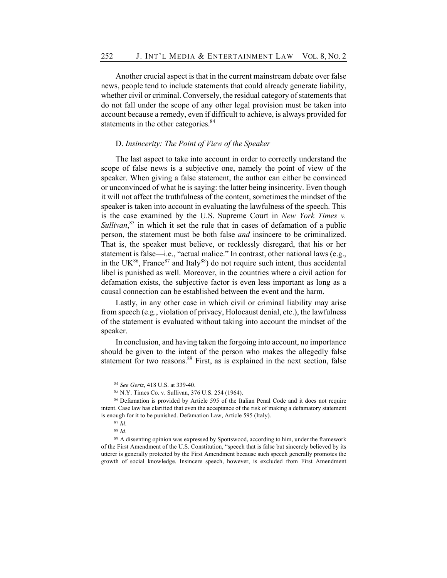Another crucial aspect is that in the current mainstream debate over false news, people tend to include statements that could already generate liability, whether civil or criminal. Conversely, the residual category of statements that do not fall under the scope of any other legal provision must be taken into account because a remedy, even if difficult to achieve, is always provided for statements in the other categories.<sup>84</sup>

## D. *Insincerity: The Point of View of the Speaker*

The last aspect to take into account in order to correctly understand the scope of false news is a subjective one, namely the point of view of the speaker. When giving a false statement, the author can either be convinced or unconvinced of what he is saying: the latter being insincerity. Even though it will not affect the truthfulness of the content, sometimes the mindset of the speaker is taken into account in evaluating the lawfulness of the speech. This is the case examined by the U.S. Supreme Court in *New York Times v.*  Sullivan,<sup>85</sup> in which it set the rule that in cases of defamation of a public person, the statement must be both false *and* insincere to be criminalized. That is, the speaker must believe, or recklessly disregard, that his or her statement is false—i.e., "actual malice." In contrast, other national laws (e.g., in the UK $^{86}$ , France $^{87}$  and Italy $^{88}$ ) do not require such intent, thus accidental libel is punished as well. Moreover, in the countries where a civil action for defamation exists, the subjective factor is even less important as long as a causal connection can be established between the event and the harm.

Lastly, in any other case in which civil or criminal liability may arise from speech (e.g., violation of privacy, Holocaust denial, etc.), the lawfulness of the statement is evaluated without taking into account the mindset of the speaker.

In conclusion, and having taken the forgoing into account, no importance should be given to the intent of the person who makes the allegedly false statement for two reasons. $89$  First, as is explained in the next section, false

<sup>84</sup> *See Gertz*, 418 U.S. at 339-40.

<sup>85</sup> N.Y. Times Co. v. Sullivan, 376 U.S. 254 (1964).

<sup>86</sup> Defamation is provided by Article 595 of the Italian Penal Code and it does not require intent. Case law has clarified that even the acceptance of the risk of making a defamatory statement is enough for it to be punished. Defamation Law, Article 595 (Italy).

<sup>87</sup> *Id*.

<sup>88</sup> *Id*.

<sup>&</sup>lt;sup>89</sup> A dissenting opinion was expressed by Spottswood, according to him, under the framework of the First Amendment of the U.S. Constitution, "speech that is false but sincerely believed by its utterer is generally protected by the First Amendment because such speech generally promotes the growth of social knowledge. Insincere speech, however, is excluded from First Amendment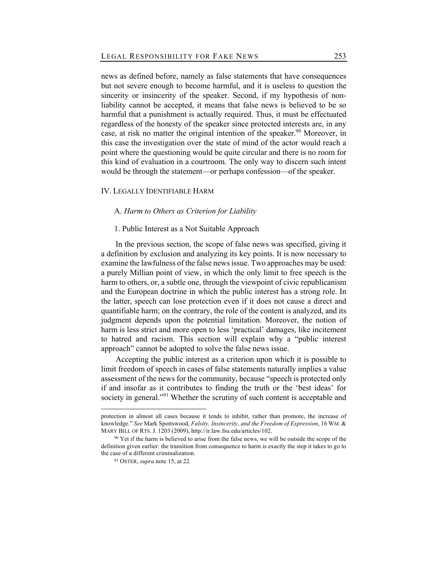news as defined before, namely as false statements that have consequences but not severe enough to become harmful, and it is useless to question the sincerity or insincerity of the speaker. Second, if my hypothesis of nonliability cannot be accepted, it means that false news is believed to be so harmful that a punishment is actually required. Thus, it must be effectuated regardless of the honesty of the speaker since protected interests are, in any case, at risk no matter the original intention of the speaker.<sup>90</sup> Moreover, in this case the investigation over the state of mind of the actor would reach a point where the questioning would be quite circular and there is no room for this kind of evaluation in a courtroom. The only way to discern such intent would be through the statement—or perhaps confession—of the speaker.

## IV. LEGALLY IDENTIFIABLE HARM

#### A. *Harm to Others as Criterion for Liability*

## 1. Public Interest as a Not Suitable Approach

In the previous section, the scope of false news was specified, giving it a definition by exclusion and analyzing its key points. It is now necessary to examine the lawfulness of the false news issue. Two approaches may be used: a purely Millian point of view, in which the only limit to free speech is the harm to others, or, a subtle one, through the viewpoint of civic republicanism and the European doctrine in which the public interest has a strong role. In the latter, speech can lose protection even if it does not cause a direct and quantifiable harm; on the contrary, the role of the content is analyzed, and its judgment depends upon the potential limitation. Moreover, the notion of harm is less strict and more open to less 'practical' damages, like incitement to hatred and racism. This section will explain why a "public interest approach" cannot be adopted to solve the false news issue.

Accepting the public interest as a criterion upon which it is possible to limit freedom of speech in cases of false statements naturally implies a value assessment of the news for the community, because "speech is protected only if and insofar as it contributes to finding the truth or the 'best ideas' for society in general."<sup>91</sup> Whether the scrutiny of such content is acceptable and

protection in almost all cases because it tends to inhibit, rather than promote, the increase of knowledge." *See* Mark Spottswood, *Falsity, Insincerity, and the Freedom of Expression*, 16 WM. & MARY BILL OF RTS. J. 1203 (2009), http://ir.law.fsu.edu/articles/102.

<sup>&</sup>lt;sup>90</sup> Yet if the harm is believed to arise from the false news, we will be outside the scope of the definition given earlier: the transition from consequence to harm is exactly the step it takes to go to the case of a different criminalization.

<sup>91</sup> OSTER, *supra* note 15, at 22.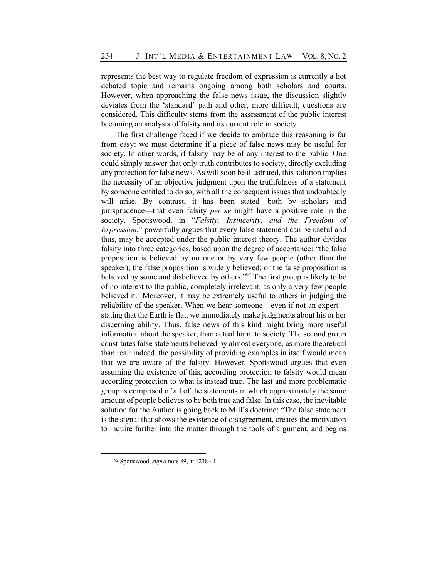represents the best way to regulate freedom of expression is currently a hot debated topic and remains ongoing among both scholars and courts. However, when approaching the false news issue, the discussion slightly deviates from the 'standard' path and other, more difficult, questions are considered. This difficulty stems from the assessment of the public interest becoming an analysis of falsity and its current role in society.

The first challenge faced if we decide to embrace this reasoning is far from easy: we must determine if a piece of false news may be useful for society. In other words, if falsity may be of any interest to the public. One could simply answer that only truth contributes to society, directly excluding any protection for false news. As will soon be illustrated, this solution implies the necessity of an objective judgment upon the truthfulness of a statement by someone entitled to do so, with all the consequent issues that undoubtedly will arise. By contrast, it has been stated—both by scholars and jurisprudence—that even falsity *per se* might have a positive role in the society. Spottswood, in "*Falsity, Insincerity, and the Freedom of Expression*," powerfully argues that every false statement can be useful and thus, may be accepted under the public interest theory. The author divides falsity into three categories, based upon the degree of acceptance: "the false proposition is believed by no one or by very few people (other than the speaker); the false proposition is widely believed; or the false proposition is believed by some and disbelieved by others."<sup>92</sup> The first group is likely to be of no interest to the public, completely irrelevant, as only a very few people believed it. Moreover, it may be extremely useful to others in judging the reliability of the speaker. When we hear someone—even if not an expert stating that the Earth is flat, we immediately make judgments about his or her discerning ability. Thus, false news of this kind might bring more useful information about the speaker, than actual harm to society. The second group constitutes false statements believed by almost everyone, as more theoretical than real: indeed, the possibility of providing examples in itself would mean that we are aware of the falsity. However, Spottswood argues that even assuming the existence of this, according protection to falsity would mean according protection to what is instead true. The last and more problematic group is comprised of all of the statements in which approximately the same amount of people believes to be both true and false. In this case, the inevitable solution for the Author is going back to Mill's doctrine: "The false statement is the signal that shows the existence of disagreement, creates the motivation to inquire further into the matter through the tools of argument, and begins

<sup>92</sup> Spottswood, *supra* note 89, at 1238-41.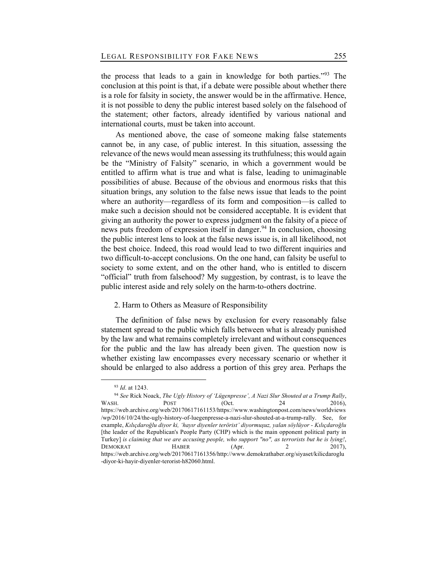the process that leads to a gain in knowledge for both parties."<sup>93</sup> The conclusion at this point is that, if a debate were possible about whether there is a role for falsity in society, the answer would be in the affirmative. Hence, it is not possible to deny the public interest based solely on the falsehood of the statement; other factors, already identified by various national and international courts, must be taken into account.

As mentioned above, the case of someone making false statements cannot be, in any case, of public interest. In this situation, assessing the relevance of the news would mean assessing its truthfulness; this would again be the "Ministry of Falsity" scenario, in which a government would be entitled to affirm what is true and what is false, leading to unimaginable possibilities of abuse. Because of the obvious and enormous risks that this situation brings, any solution to the false news issue that leads to the point where an authority—regardless of its form and composition—is called to make such a decision should not be considered acceptable. It is evident that giving an authority the power to express judgment on the falsity of a piece of news puts freedom of expression itself in danger.<sup>94</sup> In conclusion, choosing the public interest lens to look at the false news issue is, in all likelihood, not the best choice. Indeed, this road would lead to two different inquiries and two difficult-to-accept conclusions. On the one hand, can falsity be useful to society to some extent, and on the other hand, who is entitled to discern "official" truth from falsehood? My suggestion, by contrast, is to leave the public interest aside and rely solely on the harm-to-others doctrine.

## 2. Harm to Others as Measure of Responsibility

The definition of false news by exclusion for every reasonably false statement spread to the public which falls between what is already punished by the law and what remains completely irrelevant and without consequences for the public and the law has already been given. The question now is whether existing law encompasses every necessary scenario or whether it should be enlarged to also address a portion of this grey area. Perhaps the

<sup>93</sup> *Id*. at 1243.

<sup>94</sup> *See* Rick Noack, *The Ugly History of 'Lügenpresse', A Nazi Slur Shouted at a Trump Rally*, WASH. **POST** (Oct. 24 2016), https://web.archive.org/web/20170617161153/https://www.washingtonpost.com/news/worldviews /wp/2016/10/24/the-ugly-history-of-luegenpresse-a-nazi-slur-shouted-at-a-trump-rally. See, for example, *Kılıçdaroğlu diyor ki, 'hayır diyenler terörist' diyormuşuz, yalan söylüyor - Kılıçdaroğlu*  [the leader of the Republican's People Party (CHP) which is the main opponent political party in Turkey] *is claiming that we are accusing people, who support "no", as terrorists but he is lying!*, DEMOKRAT HABER (Apr. 2 2017), https://web.archive.org/web/20170617161356/http://www.demokrathaber.org/siyaset/kilicdaroglu -diyor-ki-hayir-diyenler-terorist-h82060.html.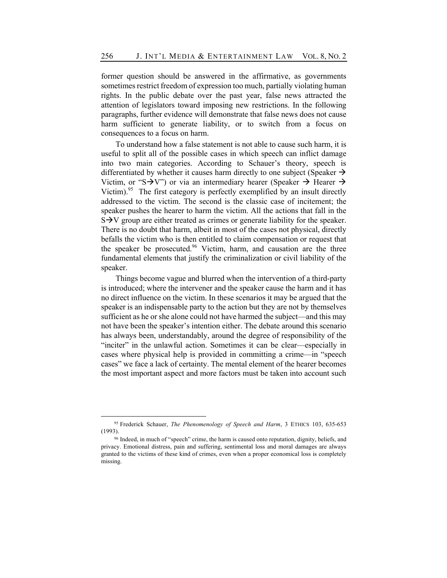former question should be answered in the affirmative, as governments sometimes restrict freedom of expression too much, partially violating human rights. In the public debate over the past year, false news attracted the attention of legislators toward imposing new restrictions. In the following paragraphs, further evidence will demonstrate that false news does not cause harm sufficient to generate liability, or to switch from a focus on consequences to a focus on harm.

To understand how a false statement is not able to cause such harm, it is useful to split all of the possible cases in which speech can inflict damage into two main categories. According to Schauer's theory, speech is differentiated by whether it causes harm directly to one subject (Speaker  $\rightarrow$ Victim, or "S $\rightarrow$ V") or via an intermediary hearer (Speaker  $\rightarrow$  Hearer  $\rightarrow$ Victim).<sup>95</sup> The first category is perfectly exemplified by an insult directly addressed to the victim. The second is the classic case of incitement; the speaker pushes the hearer to harm the victim. All the actions that fall in the  $S\rightarrow V$  group are either treated as crimes or generate liability for the speaker. There is no doubt that harm, albeit in most of the cases not physical, directly befalls the victim who is then entitled to claim compensation or request that the speaker be prosecuted.<sup>96</sup> Victim, harm, and causation are the three fundamental elements that justify the criminalization or civil liability of the speaker.

Things become vague and blurred when the intervention of a third-party is introduced; where the intervener and the speaker cause the harm and it has no direct influence on the victim. In these scenarios it may be argued that the speaker is an indispensable party to the action but they are not by themselves sufficient as he or she alone could not have harmed the subject—and this may not have been the speaker's intention either. The debate around this scenario has always been, understandably, around the degree of responsibility of the "inciter" in the unlawful action. Sometimes it can be clear—especially in cases where physical help is provided in committing a crime—in "speech cases" we face a lack of certainty. The mental element of the hearer becomes the most important aspect and more factors must be taken into account such

<sup>95</sup> Frederick Schauer, *The Phenomenology of Speech and Harm*, 3 ETHICS 103, 635-653 (1993).

<sup>96</sup> Indeed, in much of "speech" crime, the harm is caused onto reputation, dignity, beliefs, and privacy. Emotional distress, pain and suffering, sentimental loss and moral damages are always granted to the victims of these kind of crimes, even when a proper economical loss is completely missing.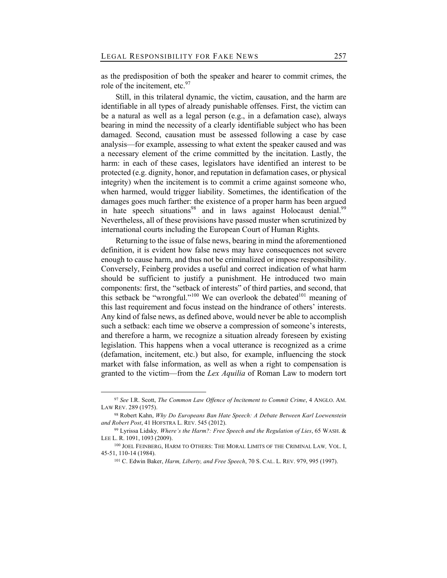as the predisposition of both the speaker and hearer to commit crimes, the role of the incitement, etc. $97$ 

Still, in this trilateral dynamic, the victim, causation, and the harm are identifiable in all types of already punishable offenses. First, the victim can be a natural as well as a legal person (e.g., in a defamation case), always bearing in mind the necessity of a clearly identifiable subject who has been damaged. Second, causation must be assessed following a case by case analysis—for example, assessing to what extent the speaker caused and was a necessary element of the crime committed by the incitation. Lastly, the harm: in each of these cases, legislators have identified an interest to be protected (e.g. dignity, honor, and reputation in defamation cases, or physical integrity) when the incitement is to commit a crime against someone who, when harmed, would trigger liability. Sometimes, the identification of the damages goes much farther: the existence of a proper harm has been argued in hate speech situations<sup>98</sup> and in laws against Holocaust denial.<sup>99</sup> Nevertheless, all of these provisions have passed muster when scrutinized by international courts including the European Court of Human Rights.

Returning to the issue of false news, bearing in mind the aforementioned definition, it is evident how false news may have consequences not severe enough to cause harm, and thus not be criminalized or impose responsibility. Conversely, Feinberg provides a useful and correct indication of what harm should be sufficient to justify a punishment. He introduced two main components: first, the "setback of interests" of third parties, and second, that this setback be "wrongful."<sup>100</sup> We can overlook the debated<sup>101</sup> meaning of this last requirement and focus instead on the hindrance of others' interests. Any kind of false news, as defined above, would never be able to accomplish such a setback: each time we observe a compression of someone's interests, and therefore a harm, we recognize a situation already foreseen by existing legislation. This happens when a vocal utterance is recognized as a crime (defamation, incitement, etc.) but also, for example, influencing the stock market with false information, as well as when a right to compensation is granted to the victim—from the *Lex Aquilia* of Roman Law to modern tort

<sup>97</sup> *See* I.R. Scott, *The Common Law Offence of Incitement to Commit Crime*, 4 ANGLO. AM. LAW REV. 289 (1975).

<sup>98</sup> Robert Kahn, *Why Do Europeans Ban Hate Speech: A Debate Between Karl Loewenstein and Robert Post*, 41 HOFSTRA L. REV. 545 (2012).

<sup>99</sup> Lyrissa Lidsky*, Where's the Harm?: Free Speech and the Regulation of Lies*, 65 WASH. & LEE L. R. 1091, 1093 (2009).

<sup>100</sup> JOEL FEINBERG, HARM TO OTHERS: THE MORAL LIMITS OF THE CRIMINAL LAW*,* VOL. I, 45-51, 110-14 (1984).

<sup>101</sup> C. Edwin Baker, *Harm, Liberty, and Free Speech*, 70 S. CAL. L. REV. 979, 995 (1997).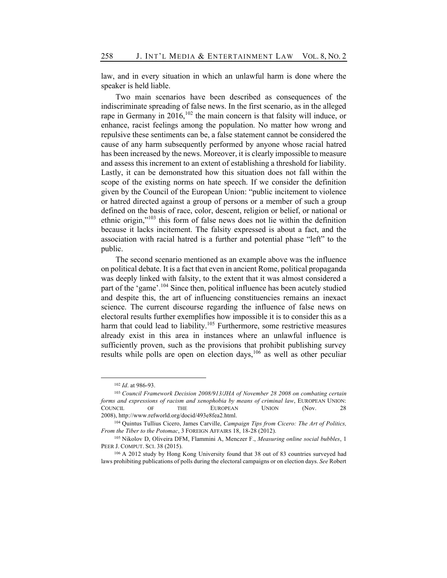law, and in every situation in which an unlawful harm is done where the speaker is held liable.

Two main scenarios have been described as consequences of the indiscriminate spreading of false news. In the first scenario, as in the alleged rape in Germany in  $2016$ ,<sup>102</sup> the main concern is that falsity will induce, or enhance, racist feelings among the population. No matter how wrong and repulsive these sentiments can be, a false statement cannot be considered the cause of any harm subsequently performed by anyone whose racial hatred has been increased by the news. Moreover, it is clearly impossible to measure and assess this increment to an extent of establishing a threshold for liability. Lastly, it can be demonstrated how this situation does not fall within the scope of the existing norms on hate speech. If we consider the definition given by the Council of the European Union: "public incitement to violence or hatred directed against a group of persons or a member of such a group defined on the basis of race, color, descent, religion or belief, or national or ethnic origin,"103 this form of false news does not lie within the definition because it lacks incitement. The falsity expressed is about a fact, and the association with racial hatred is a further and potential phase "left" to the public.

The second scenario mentioned as an example above was the influence on political debate. It is a fact that even in ancient Rome, political propaganda was deeply linked with falsity, to the extent that it was almost considered a part of the 'game'.<sup>104</sup> Since then, political influence has been acutely studied and despite this, the art of influencing constituencies remains an inexact science. The current discourse regarding the influence of false news on electoral results further exemplifies how impossible it is to consider this as a harm that could lead to liability.<sup>105</sup> Furthermore, some restrictive measures already exist in this area in instances where an unlawful influence is sufficiently proven, such as the provisions that prohibit publishing survey results while polls are open on election days,<sup>106</sup> as well as other peculiar

<sup>102</sup> *Id*. at 986-93.

<sup>103</sup> *Council Framework Decision 2008/913/JHA of November 28 2008 on combating certain forms and expressions of racism and xenophobia by means of criminal law*, EUROPEAN UNION: COUNCIL OF THE EUROPEAN UNION (Nov. 28 2008), http://www.refworld.org/docid/493e8fea2.html.

<sup>104</sup> Quintus Tullius Cicero, James Carville, *Campaign Tips from Cicero: The Art of Politics, From the Tiber to the Potomac*, 3 FOREIGN AFFAIRS 18, 18-28 (2012).

<sup>105</sup> Nikolov D, Oliveira DFM, Flammini A, Menczer F., *Measuring online social bubbles*, 1 PEER J. COMPUT. SCI. 38 (2015).

<sup>106</sup> A 2012 study by Hong Kong University found that 38 out of 83 countries surveyed had laws prohibiting publications of polls during the electoral campaigns or on election days. *See* Robert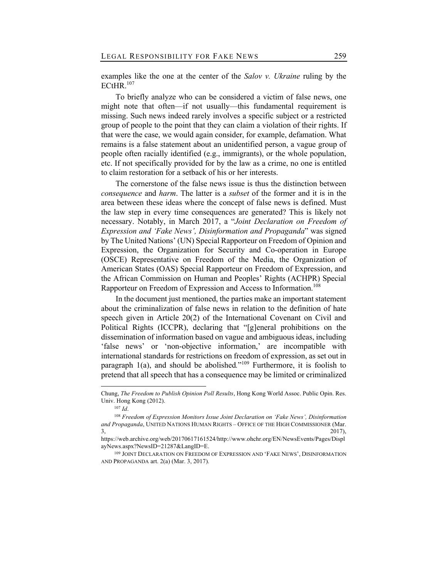examples like the one at the center of the *Salov v. Ukraine* ruling by the  $ECHR.<sup>107</sup>$ 

To briefly analyze who can be considered a victim of false news, one might note that often—if not usually—this fundamental requirement is missing. Such news indeed rarely involves a specific subject or a restricted group of people to the point that they can claim a violation of their rights. If that were the case, we would again consider, for example, defamation. What remains is a false statement about an unidentified person, a vague group of people often racially identified (e.g., immigrants), or the whole population, etc. If not specifically provided for by the law as a crime, no one is entitled to claim restoration for a setback of his or her interests.

The cornerstone of the false news issue is thus the distinction between *consequence* and *harm*. The latter is a *subset* of the former and it is in the area between these ideas where the concept of false news is defined. Must the law step in every time consequences are generated? This is likely not necessary. Notably, in March 2017, a "*Joint Declaration on Freedom of Expression and 'Fake News', Disinformation and Propaganda*" was signed by The United Nations' (UN) Special Rapporteur on Freedom of Opinion and Expression, the Organization for Security and Co-operation in Europe (OSCE) Representative on Freedom of the Media, the Organization of American States (OAS) Special Rapporteur on Freedom of Expression, and the African Commission on Human and Peoples' Rights (ACHPR) Special Rapporteur on Freedom of Expression and Access to Information.<sup>108</sup>

In the document just mentioned, the parties make an important statement about the criminalization of false news in relation to the definition of hate speech given in Article 20(2) of the International Covenant on Civil and Political Rights (ICCPR), declaring that "[g]eneral prohibitions on the dissemination of information based on vague and ambiguous ideas, including 'false news' or 'non-objective information,' are incompatible with international standards for restrictions on freedom of expression, as set out in paragraph 1(a), and should be abolished*.*"<sup>109</sup> Furthermore, it is foolish to pretend that all speech that has a consequence may be limited or criminalized

Chung, *The Freedom to Publish Opinion Poll Results*, Hong Kong World Assoc. Public Opin. Res. Univ. Hong Kong (2012).

<sup>107</sup> *Id*.

<sup>108</sup> *Freedom of Expression Monitors Issue Joint Declaration on 'Fake News', Disinformation and Propaganda*, UNITED NATIONS HUMAN RIGHTS – OFFICE OF THE HIGH COMMISSIONER (Mar.  $3,$  2017),

https://web.archive.org/web/20170617161524/http://www.ohchr.org/EN/NewsEvents/Pages/Displ ayNews.aspx?NewsID=21287&LangID=E.

<sup>109</sup> JOINT DECLARATION ON FREEDOM OF EXPRESSION AND 'FAKE NEWS', DISINFORMATION AND PROPAGANDA art. 2(a) (Mar. 3, 2017).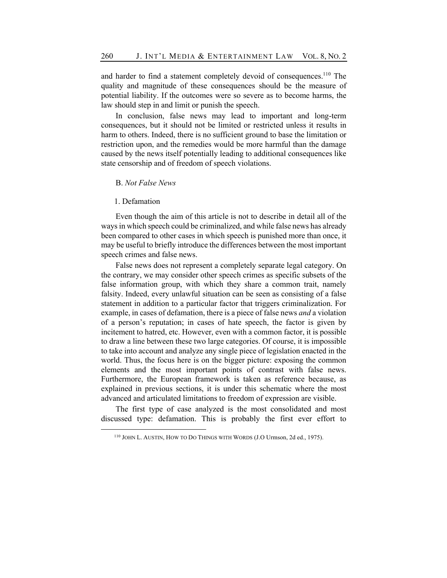and harder to find a statement completely devoid of consequences.<sup>110</sup> The quality and magnitude of these consequences should be the measure of potential liability. If the outcomes were so severe as to become harms, the law should step in and limit or punish the speech.

In conclusion, false news may lead to important and long-term consequences, but it should not be limited or restricted unless it results in harm to others. Indeed, there is no sufficient ground to base the limitation or restriction upon, and the remedies would be more harmful than the damage caused by the news itself potentially leading to additional consequences like state censorship and of freedom of speech violations.

#### B. *Not False News*

## 1. Defamation

Even though the aim of this article is not to describe in detail all of the ways in which speech could be criminalized, and while false news has already been compared to other cases in which speech is punished more than once, it may be useful to briefly introduce the differences between the most important speech crimes and false news.

False news does not represent a completely separate legal category. On the contrary, we may consider other speech crimes as specific subsets of the false information group, with which they share a common trait, namely falsity. Indeed, every unlawful situation can be seen as consisting of a false statement in addition to a particular factor that triggers criminalization. For example, in cases of defamation, there is a piece of false news *and* a violation of a person's reputation; in cases of hate speech, the factor is given by incitement to hatred, etc. However, even with a common factor, it is possible to draw a line between these two large categories. Of course, it is impossible to take into account and analyze any single piece of legislation enacted in the world. Thus, the focus here is on the bigger picture: exposing the common elements and the most important points of contrast with false news. Furthermore, the European framework is taken as reference because, as explained in previous sections, it is under this schematic where the most advanced and articulated limitations to freedom of expression are visible.

The first type of case analyzed is the most consolidated and most discussed type: defamation. This is probably the first ever effort to

<sup>110</sup> JOHN L. AUSTIN, HOW TO DO THINGS WITH WORDS (J.O Urmson, 2d ed., 1975).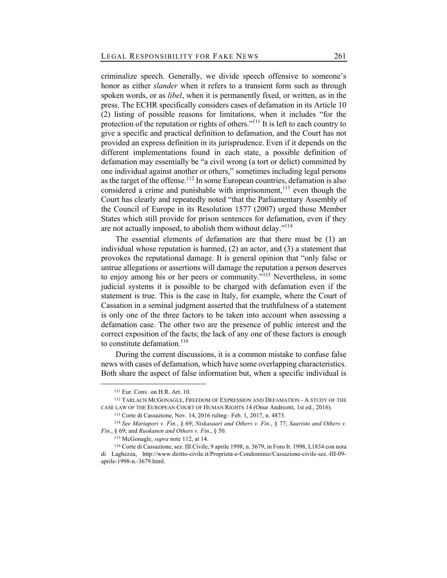criminalize speech. Generally, we divide speech offensive to someone's honor as either *slander* when it refers to a transient form such as through spoken words, or as *libel*, when it is permanently fixed, or written, as in the press. The ECHR specifically considers cases of defamation in its Article 10 (2) listing of possible reasons for limitations, when it includes "for the protection of the reputation or rights of others."<sup>111</sup> It is left to each country to give a specific and practical definition to defamation, and the Court has not provided an express definition in its jurisprudence. Even if it depends on the different implementations found in each state, a possible definition of defamation may essentially be "a civil wrong (a tort or delict) committed by one individual against another or others," sometimes including legal persons as the target of the offense.<sup>112</sup> In some European countries, defamation is also considered a crime and punishable with imprisonment,  $113$  even though the Court has clearly and repeatedly noted "that the Parliamentary Assembly of the Council of Europe in its Resolution 1577 (2007) urged those Member States which still provide for prison sentences for defamation, even if they are not actually imposed, to abolish them without delay."<sup>114</sup>

The essential elements of defamation are that there must be (1) an individual whose reputation is harmed, (2) an actor, and (3) a statement that provokes the reputational damage. It is general opinion that "only false or untrue allegations or assertions will damage the reputation a person deserves to enjoy among his or her peers or community."<sup>115</sup> Nevertheless, in some judicial systems it is possible to be charged with defamation even if the statement is true. This is the case in Italy, for example, where the Court of Cassation in a seminal judgment asserted that the truthfulness of a statement is only one of the three factors to be taken into account when assessing a defamation case. The other two are the presence of public interest and the correct exposition of the facts; the lack of any one of these factors is enough to constitute defamation.<sup>116</sup>

During the current discussions, it is a common mistake to confuse false news with cases of defamation, which have some overlapping characteristics. Both share the aspect of false information but, when a specific individual is

<sup>111</sup> Eur. Conv. on H.R. Art. 10.

<sup>112</sup> TARLACH MCGONAGLE, FREEDOM OF EXPRESSION AND DEFAMATION - A STUDY OF THE CASE LAW OF THE EUROPEAN COURT OF HUMAN RIGHTS 14 (Onur Andreotti, 1st ed., 2016).

<sup>113</sup> Corte di Cassazione, Nov. 14, 2016 ruling– Feb. 1, 2017, n. 4873.

<sup>114</sup> *See Mariapori v. Fin.*, § 69; *Niskasaari and Others v. Fin*., § 77; *Saaristo and Others v. Fin.*, § 69; and *Ruokanen and Others v. Fin*., § 50.

<sup>115</sup> McGonagle, *supra* note 112, at 14.

<sup>116</sup> Corte di Cassazione, sez. III Civile, 9 aprile 1998, n. 3679, in Foro It. 1998, I,1834 con nota di Laghezza, http://www.diritto-civile.it/Proprieta-e-Condominio/Cassazione-civile-sez.-III-09 aprile-1998-n.-3679.html.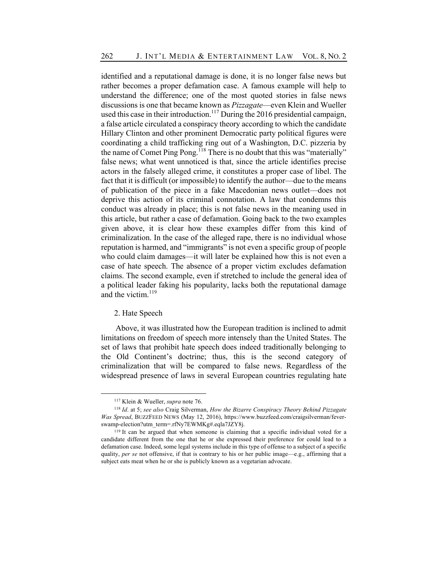identified and a reputational damage is done, it is no longer false news but rather becomes a proper defamation case. A famous example will help to understand the difference; one of the most quoted stories in false news discussions is one that became known as *Pizzagate*—even Klein and Wueller used this case in their introduction.<sup>117</sup> During the 2016 presidential campaign, a false article circulated a conspiracy theory according to which the candidate Hillary Clinton and other prominent Democratic party political figures were coordinating a child trafficking ring out of a Washington, D.C. pizzeria by the name of Comet Ping Pong.<sup>118</sup> There is no doubt that this was "materially" false news; what went unnoticed is that, since the article identifies precise actors in the falsely alleged crime, it constitutes a proper case of libel. The fact that it is difficult (or impossible) to identify the author—due to the means of publication of the piece in a fake Macedonian news outlet—does not deprive this action of its criminal connotation. A law that condemns this conduct was already in place; this is not false news in the meaning used in this article, but rather a case of defamation. Going back to the two examples given above, it is clear how these examples differ from this kind of criminalization. In the case of the alleged rape, there is no individual whose reputation is harmed, and "immigrants" is not even a specific group of people who could claim damages—it will later be explained how this is not even a case of hate speech. The absence of a proper victim excludes defamation claims. The second example, even if stretched to include the general idea of a political leader faking his popularity, lacks both the reputational damage and the victim.<sup>119</sup>

#### 2. Hate Speech

Above, it was illustrated how the European tradition is inclined to admit limitations on freedom of speech more intensely than the United States. The set of laws that prohibit hate speech does indeed traditionally belonging to the Old Continent's doctrine; thus, this is the second category of criminalization that will be compared to false news. Regardless of the widespread presence of laws in several European countries regulating hate

<sup>117</sup> Klein & Wueller, *supra* note 76.

<sup>118</sup> *Id*. at 5; *see also* Craig Silverman, *How the Bizarre Conspiracy Theory Behind Pizzagate Was Spread*, BUZZFEED NEWS (May 12, 2016), https://www.buzzfeed.com/craigsilverman/feverswamp-election?utm\_term=.rfNy7EWMKg#.eqla7JZY8j.

<sup>119</sup> It can be argued that when someone is claiming that a specific individual voted for a candidate different from the one that he or she expressed their preference for could lead to a defamation case. Indeed, some legal systems include in this type of offense to a subject of a specific quality, *per se* not offensive, if that is contrary to his or her public image—e.g., affirming that a subject eats meat when he or she is publicly known as a vegetarian advocate.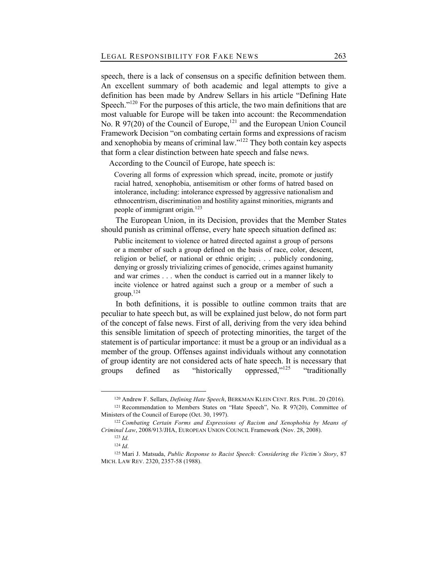speech, there is a lack of consensus on a specific definition between them. An excellent summary of both academic and legal attempts to give a definition has been made by Andrew Sellars in his article "Defining Hate Speech."<sup>120</sup> For the purposes of this article, the two main definitions that are most valuable for Europe will be taken into account: the Recommendation No. R  $97(20)$  of the Council of Europe,<sup>121</sup> and the European Union Council Framework Decision "on combating certain forms and expressions of racism and xenophobia by means of criminal law."122 They both contain key aspects that form a clear distinction between hate speech and false news.

According to the Council of Europe, hate speech is:

Covering all forms of expression which spread, incite, promote or justify racial hatred, xenophobia, antisemitism or other forms of hatred based on intolerance, including: intolerance expressed by aggressive nationalism and ethnocentrism, discrimination and hostility against minorities, migrants and people of immigrant origin.123

The European Union, in its Decision, provides that the Member States should punish as criminal offense, every hate speech situation defined as:

Public incitement to violence or hatred directed against a group of persons or a member of such a group defined on the basis of race, color, descent, religion or belief, or national or ethnic origin; . . . publicly condoning, denying or grossly trivializing crimes of genocide, crimes against humanity and war crimes . . . when the conduct is carried out in a manner likely to incite violence or hatred against such a group or a member of such a group.124

In both definitions, it is possible to outline common traits that are peculiar to hate speech but, as will be explained just below, do not form part of the concept of false news. First of all, deriving from the very idea behind this sensible limitation of speech of protecting minorities, the target of the statement is of particular importance: it must be a group or an individual as a member of the group. Offenses against individuals without any connotation of group identity are not considered acts of hate speech. It is necessary that groups defined as "historically oppressed,"<sup>125</sup> "traditionally

<sup>120</sup> Andrew F. Sellars, *Defining Hate Speech*, BERKMAN KLEIN CENT. RES. PUBL. 20 (2016).

<sup>121</sup> Recommendation to Members States on "Hate Speech", No. R 97(20), Committee of Ministers of the Council of Europe (Oct. 30, 1997).

<sup>122</sup> *Combating Certain Forms and Expressions of Racism and Xenophobia by Means of Criminal Law*, 2008/913/JHA, EUROPEAN UNION COUNCIL Framework (Nov. 28, 2008).

<sup>123</sup> *Id*. <sup>124</sup> *Id*.

<sup>125</sup> Mari J. Matsuda, *Public Response to Racist Speech: Considering the Victim's Story*, 87 MICH. LAW REV. 2320, 2357-58 (1988).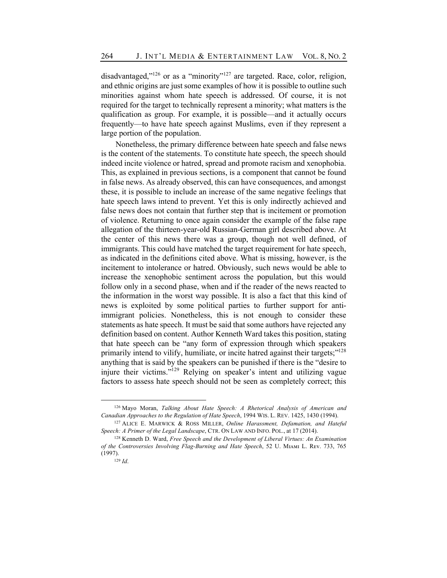disadvantaged," $126$  or as a "minority" $127$  are targeted. Race, color, religion, and ethnic origins are just some examples of how it is possible to outline such minorities against whom hate speech is addressed. Of course, it is not required for the target to technically represent a minority; what matters is the qualification as group. For example, it is possible—and it actually occurs frequently—to have hate speech against Muslims, even if they represent a large portion of the population.

Nonetheless, the primary difference between hate speech and false news is the content of the statements. To constitute hate speech, the speech should indeed incite violence or hatred, spread and promote racism and xenophobia. This, as explained in previous sections, is a component that cannot be found in false news. As already observed, this can have consequences, and amongst these, it is possible to include an increase of the same negative feelings that hate speech laws intend to prevent. Yet this is only indirectly achieved and false news does not contain that further step that is incitement or promotion of violence. Returning to once again consider the example of the false rape allegation of the thirteen-year-old Russian-German girl described above. At the center of this news there was a group, though not well defined, of immigrants. This could have matched the target requirement for hate speech, as indicated in the definitions cited above. What is missing, however, is the incitement to intolerance or hatred. Obviously, such news would be able to increase the xenophobic sentiment across the population, but this would follow only in a second phase, when and if the reader of the news reacted to the information in the worst way possible. It is also a fact that this kind of news is exploited by some political parties to further support for antiimmigrant policies. Nonetheless, this is not enough to consider these statements as hate speech. It must be said that some authors have rejected any definition based on content. Author Kenneth Ward takes this position, stating that hate speech can be "any form of expression through which speakers primarily intend to vilify, humiliate, or incite hatred against their targets;"<sup>128</sup> anything that is said by the speakers can be punished if there is the "desire to injure their victims."129 Relying on speaker's intent and utilizing vague factors to assess hate speech should not be seen as completely correct; this

<sup>126</sup> Mayo Moran, *Talking About Hate Speech: A Rhetorical Analysis of American and Canadian Approaches to the Regulation of Hate Speech*, 1994 WIS. L. REV. 1425, 1430 (1994).

<sup>127</sup> ALICE E. MARWICK & ROSS MILLER, *Online Harassment, Defamation, and Hateful Speech: A Primer of the Legal Landscape*, CTR. ON LAW AND INFO. POL., at 17 (2014).

<sup>128</sup> Kenneth D. Ward, *Free Speech and the Development of Liberal Virtues: An Examination of the Controversies Involving Flag-Burning and Hate Speech*, 52 U. Mɪᴀᴍɪ L. Rᴇᴠ. 733, 765 (1997).

<sup>129</sup> *Id*.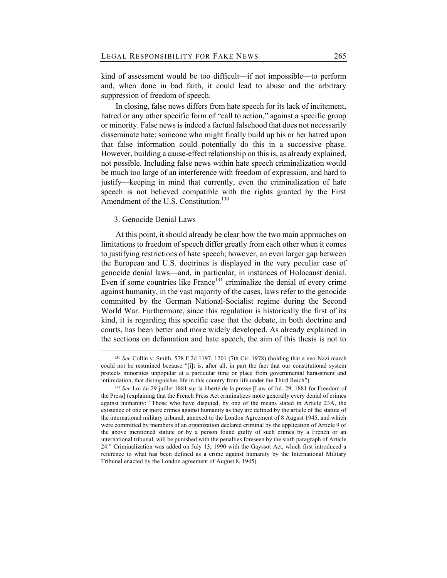kind of assessment would be too difficult—if not impossible—to perform and, when done in bad faith, it could lead to abuse and the arbitrary suppression of freedom of speech.

In closing, false news differs from hate speech for its lack of incitement, hatred or any other specific form of "call to action," against a specific group or minority. False news is indeed a factual falsehood that does not necessarily disseminate hate; someone who might finally build up his or her hatred upon that false information could potentially do this in a successive phase. However, building a cause-effect relationship on this is, as already explained, not possible. Including false news within hate speech criminalization would be much too large of an interference with freedom of expression, and hard to justify—keeping in mind that currently, even the criminalization of hate speech is not believed compatible with the rights granted by the First Amendment of the U.S. Constitution.<sup>130</sup>

## 3. Genocide Denial Laws

At this point, it should already be clear how the two main approaches on limitations to freedom of speech differ greatly from each other when it comes to justifying restrictions of hate speech; however, an even larger gap between the European and U.S. doctrines is displayed in the very peculiar case of genocide denial laws—and, in particular, in instances of Holocaust denial. Even if some countries like  $\text{France}^{131}$  criminalize the denial of every crime against humanity, in the vast majority of the cases, laws refer to the genocide committed by the German National-Socialist regime during the Second World War. Furthermore, since this regulation is historically the first of its kind, it is regarding this specific case that the debate, in both doctrine and courts, has been better and more widely developed. As already explained in the sections on defamation and hate speech, the aim of this thesis is not to

<sup>130</sup> *See* Collin v. Smith, 578 F.2d 1197, 1201 (7th Cir. 1978) (holding that a neo-Nazi march could not be restrained because "[i]t is, after all, in part the fact that our constitutional system protects minorities unpopular at a particular time or place from governmental harassment and intimidation, that distinguishes life in this country from life under the Third Reich").

<sup>131</sup> *See* Loi du 29 juillet 1881 sur la liberté de la presse [Law of Jul. 29, 1881 for Freedom of the Press] (explaining that the French Press Act criminalizes more generally every denial of crimes against humanity: "Those who have disputed, by one of the means stated in Article 23A, the existence of one or more crimes against humanity as they are defined by the article of the statute of the international military tribunal, annexed to the London Agreement of 8 August 1945, and which were committed by members of an organization declared criminal by the application of Article 9 of the above mentioned statute or by a person found guilty of such crimes by a French or an international tribunal, will be punished with the penalties foreseen by the sixth paragraph of Article 24." Criminalization was added on July 13, 1990 with the Gayssot Act, which first introduced a reference to what has been defined as a crime against humanity by the International Military Tribunal enacted by the London agreement of August 8, 1945).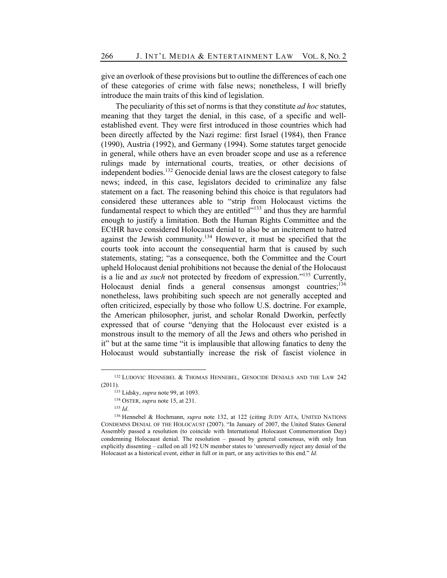give an overlook of these provisions but to outline the differences of each one of these categories of crime with false news; nonetheless, I will briefly introduce the main traits of this kind of legislation.

The peculiarity of this set of norms is that they constitute *ad hoc* statutes, meaning that they target the denial, in this case, of a specific and wellestablished event. They were first introduced in those countries which had been directly affected by the Nazi regime: first Israel (1984), then France (1990), Austria (1992), and Germany (1994). Some statutes target genocide in general, while others have an even broader scope and use as a reference rulings made by international courts, treaties, or other decisions of independent bodies.<sup>132</sup> Genocide denial laws are the closest category to false news; indeed, in this case, legislators decided to criminalize any false statement on a fact. The reasoning behind this choice is that regulators had considered these utterances able to "strip from Holocaust victims the fundamental respect to which they are entitled $"^{133}$  and thus they are harmful enough to justify a limitation. Both the Human Rights Committee and the ECtHR have considered Holocaust denial to also be an incitement to hatred against the Jewish community.<sup>134</sup> However, it must be specified that the courts took into account the consequential harm that is caused by such statements, stating; "as a consequence, both the Committee and the Court upheld Holocaust denial prohibitions not because the denial of the Holocaust is a lie and *as such* not protected by freedom of expression."135 Currently, Holocaust denial finds a general consensus amongst countries;  $136$ nonetheless, laws prohibiting such speech are not generally accepted and often criticized, especially by those who follow U.S. doctrine. For example, the American philosopher, jurist, and scholar Ronald Dworkin, perfectly expressed that of course "denying that the Holocaust ever existed is a monstrous insult to the memory of all the Jews and others who perished in it" but at the same time "it is implausible that allowing fanatics to deny the Holocaust would substantially increase the risk of fascist violence in

<sup>&</sup>lt;sup>132</sup> LUDOVIC HENNEBEL & THOMAS HENNEBEL, GENOCIDE DENIALS AND THE LAW 242 (2011).

<sup>133</sup> Lidsky, *supra* note 99, at 1093.

<sup>134</sup> OSTER, *supra* note 15, at 231.

<sup>135</sup> *Id*.

<sup>136</sup> Hennebel & Hochmann, *supra* note 132, at 122 (citing JUDY AITA, UNITED NATIONS CONDEMNS DENIAL OF THE HOLOCAUST (2007). "In January of 2007, the United States General Assembly passed a resolution (to coincide with International Holocaust Commemoration Day) condemning Holocaust denial. The resolution – passed by general consensus, with only Iran explicitly dissenting – called on all 192 UN member states to 'unreservedly reject any denial of the Holocaust as a historical event, either in full or in part, or any activities to this end." *Id.*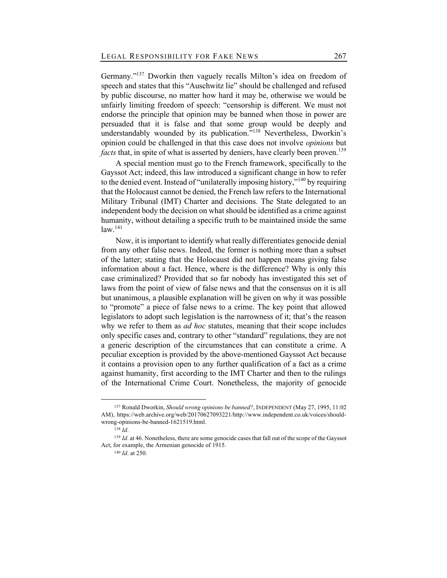Germany."<sup>137</sup> Dworkin then vaguely recalls Milton's idea on freedom of speech and states that this "Auschwitz lie" should be challenged and refused by public discourse, no matter how hard it may be, otherwise we would be unfairly limiting freedom of speech: "censorship is different. We must not endorse the principle that opinion may be banned when those in power are persuaded that it is false and that some group would be deeply and understandably wounded by its publication.<sup>5,138</sup> Nevertheless, Dworkin's opinion could be challenged in that this case does not involve *opinions* but *facts* that, in spite of what is asserted by deniers, have clearly been proven.<sup>139</sup>

A special mention must go to the French framework, specifically to the Gayssot Act; indeed, this law introduced a significant change in how to refer to the denied event. Instead of "unilaterally imposing history,"<sup>140</sup> by requiring that the Holocaust cannot be denied, the French law refers to the International Military Tribunal (IMT) Charter and decisions. The State delegated to an independent body the decision on what should be identified as a crime against humanity, without detailing a specific truth to be maintained inside the same  $law.<sup>141</sup>$ 

Now, it is important to identify what really differentiates genocide denial from any other false news. Indeed, the former is nothing more than a subset of the latter; stating that the Holocaust did not happen means giving false information about a fact. Hence, where is the difference? Why is only this case criminalized? Provided that so far nobody has investigated this set of laws from the point of view of false news and that the consensus on it is all but unanimous, a plausible explanation will be given on why it was possible to "promote" a piece of false news to a crime. The key point that allowed legislators to adopt such legislation is the narrowness of it; that's the reason why we refer to them as *ad hoc* statutes, meaning that their scope includes only specific cases and, contrary to other "standard" regulations, they are not a generic description of the circumstances that can constitute a crime. A peculiar exception is provided by the above-mentioned Gayssot Act because it contains a provision open to any further qualification of a fact as a crime against humanity, first according to the IMT Charter and then to the rulings of the International Crime Court. Nonetheless, the majority of genocide

<sup>137</sup> Ronald Dworkin, *Should wrong opinions be banned?*, INDEPENDENT (May 27, 1995, 11:02 AM), https://web.archive.org/web/20170627093221/http://www.independent.co.uk/voices/shouldwrong-opinions-be-banned-1621519.html.

<sup>138</sup> *Id*.

<sup>&</sup>lt;sup>139</sup> *Id.* at 46. Nonetheless, there are some genocide cases that fall out of the scope of the Gayssot Act; for example, the Armenian genocide of 1915.

<sup>140</sup> *Id*. at 250.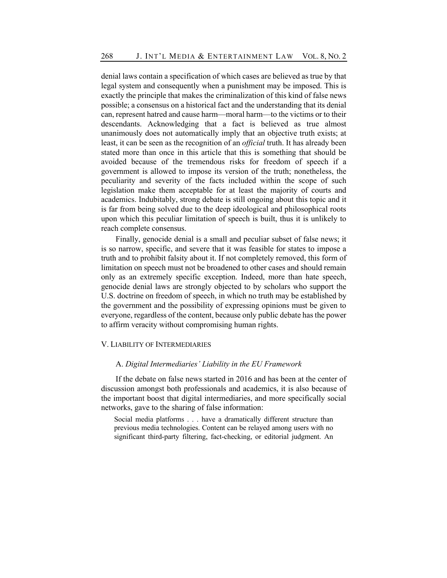denial laws contain a specification of which cases are believed as true by that legal system and consequently when a punishment may be imposed. This is exactly the principle that makes the criminalization of this kind of false news possible; a consensus on a historical fact and the understanding that its denial can, represent hatred and cause harm—moral harm—to the victims or to their descendants. Acknowledging that a fact is believed as true almost unanimously does not automatically imply that an objective truth exists; at least, it can be seen as the recognition of an *official* truth. It has already been stated more than once in this article that this is something that should be avoided because of the tremendous risks for freedom of speech if a government is allowed to impose its version of the truth; nonetheless, the peculiarity and severity of the facts included within the scope of such legislation make them acceptable for at least the majority of courts and academics. Indubitably, strong debate is still ongoing about this topic and it is far from being solved due to the deep ideological and philosophical roots upon which this peculiar limitation of speech is built, thus it is unlikely to reach complete consensus.

Finally, genocide denial is a small and peculiar subset of false news; it is so narrow, specific, and severe that it was feasible for states to impose a truth and to prohibit falsity about it. If not completely removed, this form of limitation on speech must not be broadened to other cases and should remain only as an extremely specific exception. Indeed, more than hate speech, genocide denial laws are strongly objected to by scholars who support the U.S. doctrine on freedom of speech, in which no truth may be established by the government and the possibility of expressing opinions must be given to everyone, regardless of the content, because only public debate has the power to affirm veracity without compromising human rights.

## V. LIABILITY OF INTERMEDIARIES

#### A. *Digital Intermediaries' Liability in the EU Framework*

If the debate on false news started in 2016 and has been at the center of discussion amongst both professionals and academics, it is also because of the important boost that digital intermediaries, and more specifically social networks, gave to the sharing of false information:

Social media platforms . . . have a dramatically different structure than previous media technologies. Content can be relayed among users with no significant third-party filtering, fact-checking, or editorial judgment. An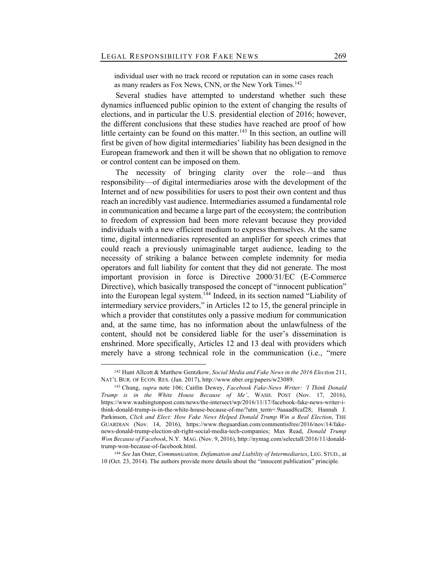individual user with no track record or reputation can in some cases reach as many readers as Fox News, CNN, or the New York Times.<sup>142</sup>

Several studies have attempted to understand whether such these dynamics influenced public opinion to the extent of changing the results of elections, and in particular the U.S. presidential election of 2016; however, the different conclusions that these studies have reached are proof of how little certainty can be found on this matter.<sup>143</sup> In this section, an outline will first be given of how digital intermediaries' liability has been designed in the European framework and then it will be shown that no obligation to remove or control content can be imposed on them.

The necessity of bringing clarity over the role—and thus responsibility—of digital intermediaries arose with the development of the Internet and of new possibilities for users to post their own content and thus reach an incredibly vast audience. Intermediaries assumed a fundamental role in communication and became a large part of the ecosystem; the contribution to freedom of expression had been more relevant because they provided individuals with a new efficient medium to express themselves. At the same time, digital intermediaries represented an amplifier for speech crimes that could reach a previously unimaginable target audience, leading to the necessity of striking a balance between complete indemnity for media operators and full liability for content that they did not generate. The most important provision in force is Directive 2000/31/EC (E-Commerce Directive), which basically transposed the concept of "innocent publication" into the European legal system.<sup>144</sup> Indeed, in its section named "Liability of intermediary service providers," in Articles 12 to 15, the general principle in which a provider that constitutes only a passive medium for communication and, at the same time, has no information about the unlawfulness of the content, should not be considered liable for the user's dissemination is enshrined. More specifically, Articles 12 and 13 deal with providers which merely have a strong technical role in the communication (i.e., "mere

<sup>144</sup> *See* Jan Oster, *Communication, Defamation and Liability of Intermediaries*, LEG. STUD., at 10 (Oct. 23, 2014). The authors provide more details about the "innocent publication" principle.

<sup>142</sup> Hunt Allcott & Matthew Gentzkow, *Social Media and Fake News in the 2016 Election* 211, NAT'L BUR. OF ECON. RES. (Jan. 2017), http://www.nber.org/papers/w23089.

<sup>143</sup> Chung, *supra* note 106; Caitlin Dewey, *Facebook Fake-News Writer: 'I Think Donald Trump is in the White House Because of Me'*, WASH. POST (Nov. 17, 2016), https://www.washingtonpost.com/news/the-intersect/wp/2016/11/17/facebook-fake-news-writer-ithink-donald-trump-is-in-the-white-house-because-of-me/?utm\_term=.9aaaad8caf28; Hannah J. Parkinson, *Click and Elect: How Fake News Helped Donald Trump Win a Real Election*, THE GUARDIAN (Nov. 14, 2016), https://www.theguardian.com/commentisfree/2016/nov/14/fakenews-donald-trump-election-alt-right-social-media-tech-companies; Max Read, *Donald Trump Won Because of Facebook*, N.Y. MAG. (Nov. 9, 2016), http://nymag.com/selectall/2016/11/donaldtrump-won-because-of-facebook.html.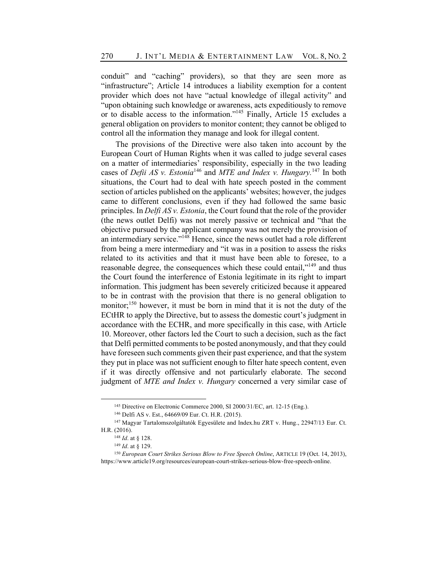conduit" and "caching" providers), so that they are seen more as "infrastructure"; Article 14 introduces a liability exemption for a content provider which does not have "actual knowledge of illegal activity" and "upon obtaining such knowledge or awareness, acts expeditiously to remove or to disable access to the information."145 Finally, Article 15 excludes a general obligation on providers to monitor content; they cannot be obliged to control all the information they manage and look for illegal content.

The provisions of the Directive were also taken into account by the European Court of Human Rights when it was called to judge several cases on a matter of intermediaries' responsibility, especially in the two leading cases of *Defii AS v. Estonia*<sup>146</sup> and *MTE and Index v. Hungary.*<sup>147</sup> In both situations, the Court had to deal with hate speech posted in the comment section of articles published on the applicants' websites; however, the judges came to different conclusions, even if they had followed the same basic principles. In *Delfi AS v. Estonia*, the Court found that the role of the provider (the news outlet Delfi) was not merely passive or technical and "that the objective pursued by the applicant company was not merely the provision of an intermediary service."148 Hence, since the news outlet had a role different from being a mere intermediary and "it was in a position to assess the risks related to its activities and that it must have been able to foresee, to a reasonable degree, the consequences which these could entail,"<sup>149</sup> and thus the Court found the interference of Estonia legitimate in its right to impart information. This judgment has been severely criticized because it appeared to be in contrast with the provision that there is no general obligation to monitor;<sup>150</sup> however, it must be born in mind that it is not the duty of the ECtHR to apply the Directive, but to assess the domestic court's judgment in accordance with the ECHR, and more specifically in this case, with Article 10. Moreover, other factors led the Court to such a decision, such as the fact that Delfi permitted comments to be posted anonymously, and that they could have foreseen such comments given their past experience, and that the system they put in place was not sufficient enough to filter hate speech content, even if it was directly offensive and not particularly elaborate. The second judgment of *MTE and Index v. Hungary* concerned a very similar case of

<sup>145</sup> Directive on Electronic Commerce 2000, SI 2000/31/EC, art. 12-15 (Eng.).

<sup>146</sup> Delfi AS v. Est., 64669/09 Eur. Ct. H.R. (2015).

<sup>147</sup> Magyar Tartalomszolgáltatók Egyesülete and Index.hu ZRT v. Hung., 22947/13 Eur. Ct. H.R. (2016).

<sup>148</sup> *Id*. at § 128.

<sup>149</sup> *Id*. at § 129.

<sup>150</sup> *European Court Strikes Serious Blow to Free Speech Online*, ARTICLE 19 (Oct. 14, 2013), https://www.article19.org/resources/european-court-strikes-serious-blow-free-speech-online.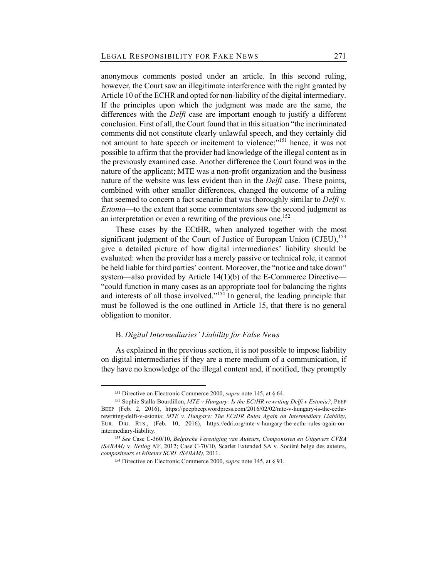anonymous comments posted under an article. In this second ruling, however, the Court saw an illegitimate interference with the right granted by Article 10 of the ECHR and opted for non-liability of the digital intermediary. If the principles upon which the judgment was made are the same, the differences with the *Delfi* case are important enough to justify a different conclusion. First of all, the Court found that in this situation "the incriminated comments did not constitute clearly unlawful speech, and they certainly did not amount to hate speech or incitement to violence;"<sup>151</sup> hence, it was not possible to affirm that the provider had knowledge of the illegal content as in the previously examined case. Another difference the Court found was in the nature of the applicant; MTE was a non-profit organization and the business nature of the website was less evident than in the *Delfi* case. These points, combined with other smaller differences, changed the outcome of a ruling that seemed to concern a fact scenario that was thoroughly similar to *Delfi v. Estonia*—to the extent that some commentators saw the second judgment as an interpretation or even a rewriting of the previous one.<sup>152</sup>

These cases by the ECtHR, when analyzed together with the most significant judgment of the Court of Justice of European Union (CJEU), $^{153}$ give a detailed picture of how digital intermediaries' liability should be evaluated: when the provider has a merely passive or technical role, it cannot be held liable for third parties' content. Moreover, the "notice and take down" system—also provided by Article 14(1)(b) of the E-Commerce Directive— "could function in many cases as an appropriate tool for balancing the rights and interests of all those involved."<sup>154</sup> In general, the leading principle that must be followed is the one outlined in Article 15, that there is no general obligation to monitor.

## B. *Digital Intermediaries' Liability for False News*

As explained in the previous section, it is not possible to impose liability on digital intermediaries if they are a mere medium of a communication, if they have no knowledge of the illegal content and, if notified, they promptly

<sup>151</sup> Directive on Electronic Commerce 2000, *supra* note 145, at § 64.

<sup>152</sup> Sophie Stalla-Bourdillon, *MTE v Hungary: Is the ECtHR rewriting Delfi v Estonia?*, PEEP BEEP (Feb. 2, 2016), https://peepbeep.wordpress.com/2016/02/02/mte-v-hungary-is-the-ecthrrewriting-delfi-v-estonia; *MTE v. Hungary: The ECtHR Rules Again on Intermediary Liability*, EUR. DIG. RTS., (Feb. 10, 2016), https://edri.org/mte-v-hungary-the-ecthr-rules-again-onintermediary-liability.

<sup>153</sup> *See* Case C-360/10, *Belgische Vereniging van Auteurs, Componisten en Uitgevers CVBA (SABAM)* v. *Netlog NV*, 2012; Case C-70/10, Scarlet Extended SA v. Société belge des auteurs, *compositeurs et éditeurs SCRL (SABAM)*, 2011.

<sup>154</sup> Directive on Electronic Commerce 2000, *supra* note 145, at § 91.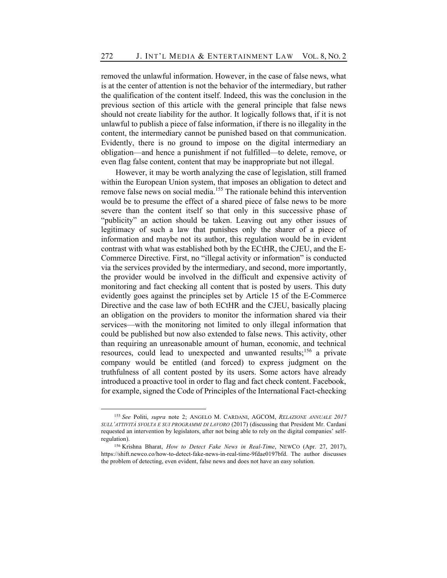removed the unlawful information. However, in the case of false news, what is at the center of attention is not the behavior of the intermediary, but rather the qualification of the content itself. Indeed, this was the conclusion in the previous section of this article with the general principle that false news should not create liability for the author. It logically follows that, if it is not unlawful to publish a piece of false information, if there is no illegality in the content, the intermediary cannot be punished based on that communication. Evidently, there is no ground to impose on the digital intermediary an obligation—and hence a punishment if not fulfilled—to delete, remove, or even flag false content, content that may be inappropriate but not illegal.

However, it may be worth analyzing the case of legislation, still framed within the European Union system, that imposes an obligation to detect and remove false news on social media.<sup>155</sup> The rationale behind this intervention would be to presume the effect of a shared piece of false news to be more severe than the content itself so that only in this successive phase of "publicity" an action should be taken. Leaving out any other issues of legitimacy of such a law that punishes only the sharer of a piece of information and maybe not its author, this regulation would be in evident contrast with what was established both by the ECtHR, the CJEU, and the E-Commerce Directive. First, no "illegal activity or information" is conducted via the services provided by the intermediary, and second, more importantly, the provider would be involved in the difficult and expensive activity of monitoring and fact checking all content that is posted by users. This duty evidently goes against the principles set by Article 15 of the E-Commerce Directive and the case law of both ECtHR and the CJEU, basically placing an obligation on the providers to monitor the information shared via their services—with the monitoring not limited to only illegal information that could be published but now also extended to false news. This activity, other than requiring an unreasonable amount of human, economic, and technical resources, could lead to unexpected and unwanted results;<sup>156</sup> a private company would be entitled (and forced) to express judgment on the truthfulness of all content posted by its users. Some actors have already introduced a proactive tool in order to flag and fact check content. Facebook, for example, signed the Code of Principles of the International Fact-checking

<sup>155</sup> *See* Politi, *supra* note 2; ANGELO M. CARDANI, AGCOM, *RELAZIONE ANNUALE 2017 SULL'ATTIVITÀ SVOLTA E SUI PROGRAMMI DI LAVORO* (2017) (discussing that President Mr. Cardani requested an intervention by legislators, after not being able to rely on the digital companies' selfregulation).

<sup>156</sup> Krishna Bharat, *How to Detect Fake News in Real-Time*, NEWCO (Apr. 27, 2017), https://shift.newco.co/how-to-detect-fake-news-in-real-time-9fdae0197bfd. The author discusses the problem of detecting, even evident, false news and does not have an easy solution.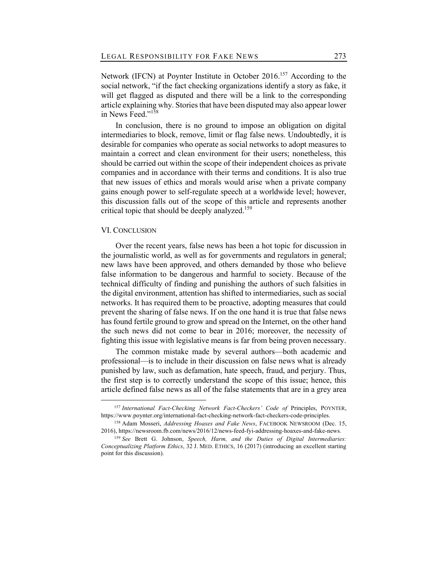Network (IFCN) at Poynter Institute in October 2016.<sup>157</sup> According to the social network, "if the fact checking organizations identify a story as fake, it will get flagged as disputed and there will be a link to the corresponding article explaining why. Stories that have been disputed may also appear lower in News Feed."<sup>158</sup>

In conclusion, there is no ground to impose an obligation on digital intermediaries to block, remove, limit or flag false news. Undoubtedly, it is desirable for companies who operate as social networks to adopt measures to maintain a correct and clean environment for their users; nonetheless, this should be carried out within the scope of their independent choices as private companies and in accordance with their terms and conditions. It is also true that new issues of ethics and morals would arise when a private company gains enough power to self-regulate speech at a worldwide level; however, this discussion falls out of the scope of this article and represents another critical topic that should be deeply analyzed.<sup>159</sup>

## VI. CONCLUSION

Over the recent years, false news has been a hot topic for discussion in the journalistic world, as well as for governments and regulators in general; new laws have been approved, and others demanded by those who believe false information to be dangerous and harmful to society. Because of the technical difficulty of finding and punishing the authors of such falsities in the digital environment, attention has shifted to intermediaries, such as social networks. It has required them to be proactive, adopting measures that could prevent the sharing of false news. If on the one hand it is true that false news has found fertile ground to grow and spread on the Internet, on the other hand the such news did not come to bear in 2016; moreover, the necessity of fighting this issue with legislative means is far from being proven necessary.

The common mistake made by several authors—both academic and professional—is to include in their discussion on false news what is already punished by law, such as defamation, hate speech, fraud, and perjury. Thus, the first step is to correctly understand the scope of this issue; hence, this article defined false news as all of the false statements that are in a grey area

<sup>&</sup>lt;sup>157</sup> International Fact-Checking Network Fact-Checkers' Code of Principles, POYNTER, https://www.poynter.org/international-fact-checking-network-fact-checkers-code-principles.

<sup>158</sup> Adam Mosseri, *Addressing Hoaxes and Fake News*, FACEBOOK NEWSROOM (Dec. 15, 2016), https://newsroom.fb.com/news/2016/12/news-feed-fyi-addressing-hoaxes-and-fake-news.

<sup>159</sup> *See* Brett G. Johnson, *Speech, Harm, and the Duties of Digital Intermediaries: Conceptualizing Platform Ethics*, 32 J. MED. ETHICS, 16 (2017) (introducing an excellent starting point for this discussion).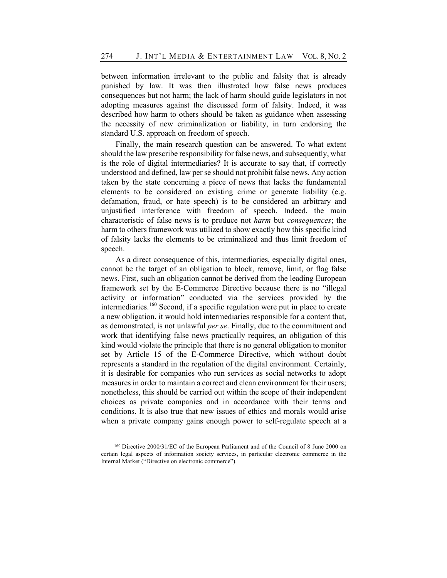between information irrelevant to the public and falsity that is already punished by law. It was then illustrated how false news produces consequences but not harm; the lack of harm should guide legislators in not adopting measures against the discussed form of falsity. Indeed, it was described how harm to others should be taken as guidance when assessing the necessity of new criminalization or liability, in turn endorsing the standard U.S. approach on freedom of speech.

Finally, the main research question can be answered. To what extent should the law prescribe responsibility for false news, and subsequently, what is the role of digital intermediaries? It is accurate to say that, if correctly understood and defined, law per se should not prohibit false news. Any action taken by the state concerning a piece of news that lacks the fundamental elements to be considered an existing crime or generate liability (e.g. defamation, fraud, or hate speech) is to be considered an arbitrary and unjustified interference with freedom of speech. Indeed, the main characteristic of false news is to produce not *harm* but *consequences*; the harm to others framework was utilized to show exactly how this specific kind of falsity lacks the elements to be criminalized and thus limit freedom of speech.

As a direct consequence of this, intermediaries, especially digital ones, cannot be the target of an obligation to block, remove, limit, or flag false news. First, such an obligation cannot be derived from the leading European framework set by the E-Commerce Directive because there is no "illegal activity or information" conducted via the services provided by the intermediaries.<sup>160</sup> Second, if a specific regulation were put in place to create a new obligation, it would hold intermediaries responsible for a content that, as demonstrated, is not unlawful *per se*. Finally, due to the commitment and work that identifying false news practically requires, an obligation of this kind would violate the principle that there is no general obligation to monitor set by Article 15 of the E-Commerce Directive, which without doubt represents a standard in the regulation of the digital environment. Certainly, it is desirable for companies who run services as social networks to adopt measures in order to maintain a correct and clean environment for their users; nonetheless, this should be carried out within the scope of their independent choices as private companies and in accordance with their terms and conditions. It is also true that new issues of ethics and morals would arise when a private company gains enough power to self-regulate speech at a

<sup>160</sup> Directive 2000/31/EC of the European Parliament and of the Council of 8 June 2000 on certain legal aspects of information society services, in particular electronic commerce in the Internal Market ("Directive on electronic commerce").